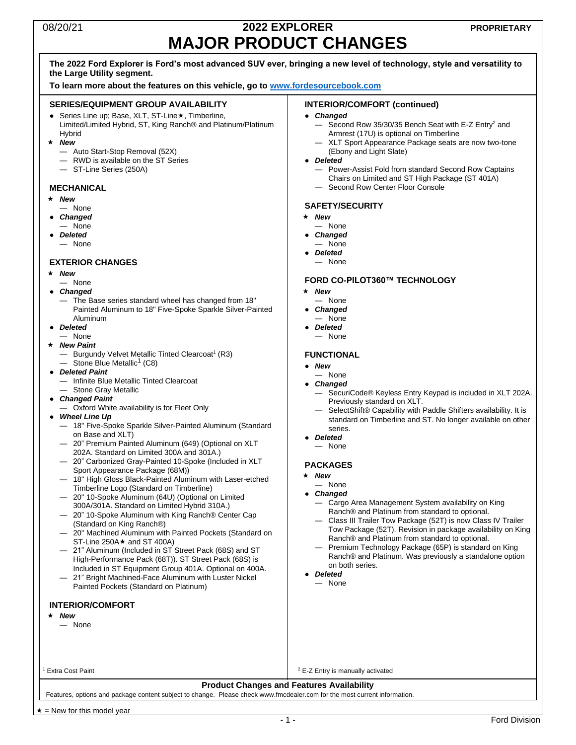### 08/20/21 **2022 EXPLORER MAJOR PRODUCT CHANGES**

### **The 2022 Ford Explorer is Ford's most advanced SUV ever, bringing a new level of technology, style and versatility to the Large Utility segment.**

**To learn more about the features on this vehicle, go to [www.fordesourcebook.com](http://www.fordesourcebook.com/)**

#### **SERIES/EQUIPMENT GROUP AVAILABILITY**

- Series Line up; Base, XLT, ST-Line ★, Timberline, Limited/Limited Hybrid, ST, King Ranch® and Platinum/Platinum Hybrid
- *New*
	- Auto Start-Stop Removal (52X)
	- $-$  RWD is available on the ST Series
	- ST-Line Series (250A)

#### **MECHANICAL**

- *New*
- None
- *Changed* — None
- *Deleted* — None

#### **EXTERIOR CHANGES**

- *New*
- None ● *Changed*
	- The Base series standard wheel has changed from 18" Painted Aluminum to 18" Five-Spoke Sparkle Silver-Painted Aluminum
- *Deleted* — None
- *New Paint*
	- Burgundy Velvet Metallic Tinted Clearcoat<sup>1</sup> (R3)  $-$  Stone Blue Metallic<sup>[1](#page-0-0)</sup> (C8)
- *Deleted Paint*
	- Infinite Blue Metallic Tinted Clearcoat
	- Stone Gray Metallic
- *Changed Paint*
- Oxford White availability is for Fleet Only
- *Wheel Line Up*
	- 18" Five-Spoke Sparkle Silver-Painted Aluminum (Standard on Base and XLT)
	- 20" Premium Painted Aluminum (649) (Optional on XLT 202A. Standard on Limited 300A and 301A.)
	- 20" Carbonized Gray-Painted 10-Spoke (Included in XLT Sport Appearance Package (68M))
	- 18" High Gloss Black-Painted Aluminum with Laser-etched Timberline Logo (Standard on Timberline)
	- 20" 10-Spoke Aluminum (64U) (Optional on Limited 300A/301A. Standard on Limited Hybrid 310A.)
	- 20" 10-Spoke Aluminum with King Ranch® Center Cap (Standard on King Ranch®)
	- 20" Machined Aluminum with Painted Pockets (Standard on  $ST$ -Line 250A $\star$  and ST 400A)
- 21" Aluminum (Included in ST Street Pack (68S) and ST High-Performance Pack (68T)). ST Street Pack (68S) is Included in ST Equipment Group 401A. Optional on 400A.
- 21" Bright Machined-Face Aluminum with Luster Nickel Painted Pockets (Standard on Platinum)

#### **INTERIOR/COMFORT**

- *New*
	- None

<sup>1</sup> Extra Cost Paint

#### **INTERIOR/COMFORT (continued)**

- *Changed*
	- Second Row 35/30/35 Bench Seat with E-Z Entry<sup>2</sup> and Armrest (17U) is optional on Timberline
	- XLT Sport Appearance Package seats are now two-tone (Ebony and Light Slate)
- *Deleted*
	- Power-Assist Fold from standard Second Row Captains Chairs on Limited and ST High Package (ST 401A)
	- Second Row Center Floor Console

#### **SAFETY/SECURITY**

- *New*
- None
- *Changed*
- None ● *Deleted*
- None

#### **FORD CO-PILOT360™ TECHNOLOGY**

- *New*
- None
- *Changed*
- None ● *Deleted*
- None

#### <span id="page-0-0"></span>**FUNCTIONAL**

- *New*
- None
- *Changed*
	- SecuriCode® Keyless Entry Keypad is included in XLT 202A. Previously standard on XLT.
	- SelectShift® Capability with Paddle Shifters availability. It is standard on Timberline and ST. No longer available on other series.
- *Deleted*
- None

#### **PACKAGES**

- *New*
	- None
- *Changed*
	- Cargo Area Management System availability on King Ranch® and Platinum from standard to optional.
	- Class III Trailer Tow Package (52T) is now Class IV Trailer Tow Package (52T). Revision in package availability on King Ranch® and Platinum from standard to optional.
	- Premium Technology Package (65P) is standard on King Ranch® and Platinum. Was previously a standalone option on both series.
- *Deleted*
- None

**Product Changes and Features Availability**

Features, options and package content subject to change. Please check www.fmcdealer.com for the most current information.

<sup>2</sup> E-Z Entry is manually activated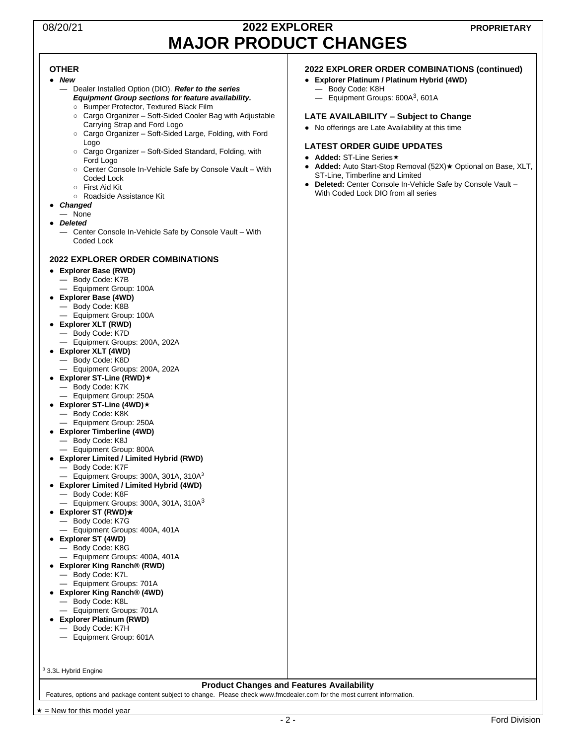### 08/20/21 **2022 EXPLORER MAJOR PRODUCT CHANGES**

#### **OTHER**

- *New*
	- Dealer Installed Option (DIO). *Refer to the series Equipment Group sections for feature availability.*
		- Bumper Protector, Textured Black Film
		- Cargo Organizer Soft-Sided Cooler Bag with Adjustable Carrying Strap and Ford Logo
		- Cargo Organizer Soft-Sided Large, Folding, with Ford Logo
		- Cargo Organizer Soft-Sided Standard, Folding, with Ford Logo
		- Center Console In-Vehicle Safe by Console Vault With Coded Lock
	- First Aid Kit
		- Roadside Assistance Kit
- *Changed*
- None ● *Deleted*
	- Center Console In-Vehicle Safe by Console Vault With Coded Lock

#### **2022 EXPLORER ORDER COMBINATIONS**

- **Explorer Base (RWD)**
	- Body Code: K7B
	- Equipment Group: 100A
- **Explorer Base (4WD)**
- Body Code: K8B
	- Equipment Group: 100A
- **Explorer XLT (RWD)** — Body Code: K7D
	- Equipment Groups: 200A, 202A
- **Explorer XLT (4WD)**
	- Body Code: K8D
	- Equipment Groups: 200A, 202A
- **Explorer ST-Line (RWD)**
	- Body Code: K7K
	- Equipment Group: 250A
- **Explorer ST-Line (4WD)** — Body Code: K8K
	- Equipment Group: 250A
- **Explorer Timberline (4WD)** — Body Code: K8J — Equipment Group: 800A
- **Explorer Limited / Limited Hybrid (RWD)**
	- Body Code: K7F
	- $-$  Equipment Groups: 300A, 301A, 310A $3$
- <span id="page-1-0"></span>● **Explorer Limited / Limited Hybrid (4WD)**
	- Body Code: K8F
	- $-$  Equipment Groups: [3](#page-1-0)00A, 301A, 310A<sup>3</sup>
- **Explorer ST (RWD)**★
	- Body Code: K7G — Equipment Groups: 400A, 401A
- **Explorer ST (4WD)**
	- Body Code: K8G
- Equipment Groups: 400A, 401A
- **Explorer King Ranch® (RWD)**
	- Body Code: K7L
	- Equipment Groups: 701A
- **Explorer King Ranch® (4WD)** — Body Code: K8L
	- Equipment Groups: 701A
- **Explorer Platinum (RWD)**
- Body Code: K7H
	- Equipment Group: 601A

<sup>3</sup> 3.3L Hybrid Engine

#### **Product Changes and Features Availability**

Features, options and package content subject to change. Please check www.fmcdealer.com for the most current information.

#### **2022 EXPLORER ORDER COMBINATIONS (continued)**

- **Explorer Platinum / Platinum Hybrid (4WD)**
	- Body Code: K8H
	- $-$  Equipment Groups: 600A<sup>[3](#page-1-0)</sup>, 601A

#### **LATE AVAILABILITY – Subject to Change**

● No offerings are Late Availability at this time

#### **LATEST ORDER GUIDE UPDATES**

- **Added:** ST-Line Series★
- **Added:** Auto Start-Stop Removal (52X)★ Optional on Base, XLT, ST-Line, Timberline and Limited
- **Deleted:** Center Console In-Vehicle Safe by Console Vault With Coded Lock DIO from all series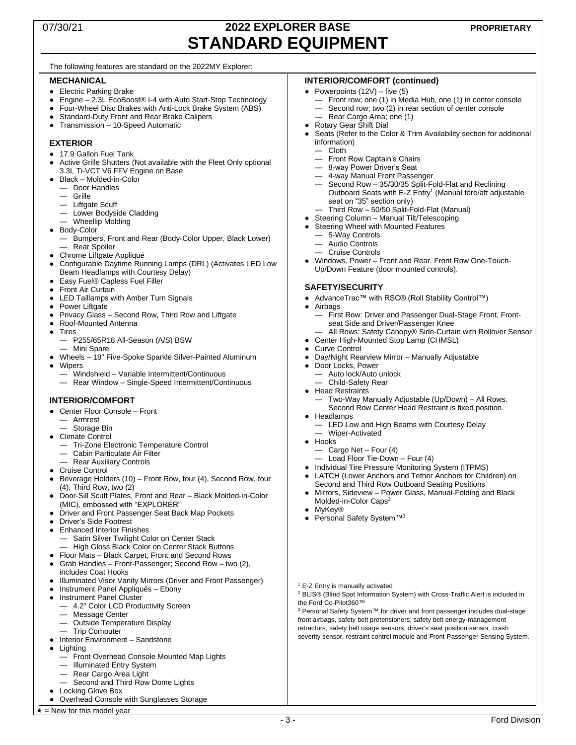### 07/30/21 **2022 EXPLORER BASE STANDARD EQUIPMENT**

#### The following features are standard on the 2022MY Explorer:

#### **MECHANICAL**

- Electric Parking Brake
- Engine 2.3L EcoBoost<sup>®</sup> I-4 with Auto Start-Stop Technology
- Four-Wheel Disc Brakes with Anti-Lock Brake System (ABS)
- **Standard-Duty Front and Rear Brake Calipers**
- Transmission 10-Speed Automatic

#### **EXTERIOR**

- 17.9 Gallon Fuel Tank
- Active Grille Shutters (Not available with the Fleet Only optional 3.3L Ti-VCT V6 FFV Engine on Base
- Black Molded-in-Color
- Door Handles
- Grille
- Liftgate Scuff
- Lower Bodyside Cladding
- Wheellip Molding
- Body-Color
	- Bumpers, Front and Rear (Body-Color Upper, Black Lower) — Rear Spoiler
- Chrome Liftgate Appliqué
- Configurable Daytime Running Lamps (DRL) (Activates LED Low Beam Headlamps with Courtesy Delay)
- Easy Fuel® Capless Fuel Filler
- Front Air Curtain
- LED Taillamps with Amber Turn Signals
- Power Liftgate<br>• Privacy Glass -
- Privacy Glass Second Row, Third Row and Liftgate
- Roof-Mounted Antenna
- Tires
	- P255/65R18 All-Season (A/S) BSW
	- Mini Spare
	- Wheels 18" Five-Spoke Sparkle Silver-Painted Aluminum
- **Winers** 
	- Windshield Variable Intermittent/Continuous
	- Rear Window Single-Speed Intermittent/Continuous

#### **INTERIOR/COMFORT**

- Center Floor Console Front
	- Armrest
	- Storage Bin
- Climate Control
	- Tri-Zone Electronic Temperature Control
	- Cabin Particulate Air Filter
	- Rear Auxiliary Controls
- Cruise Control
- Beverage Holders (10) Front Row, four (4), Second Row, four  $(4)$ , Third Row, two  $(2)$
- Door-Sill Scuff Plates, Front and Rear Black Molded-in-Color (MIC), embossed with "EXPLORER"
- Driver and Front Passenger Seat Back Map Pockets
- Driver's Side Footrest
- Enhanced Interior Finishes Satin Silver Twilight Color on Center Stack
	- High Gloss Black Color on Center Stack Buttons
- Floor Mats Black Carpet, Front and Second Rows
- Grab Handles Front-Passenger; Second Row two (2), includes Coat Hooks
- **Illuminated Visor Vanity Mirrors (Driver and Front Passenger)**
- Instrument Panel Appliqués Ebony
- Instrument Panel Cluster
	- 4.2" Color LCD Productivity Screen
	- Message Center
	- Outside Temperature Display
- Trip Computer
- Interior Environment Sandstone
- Lighting
	- Front Overhead Console Mounted Map Lights
	- Illuminated Entry System
	- Rear Cargo Area Light
- Second and Third Row Dome Lights ● Locking Glove Box
- Overhead Console with Sunglasses Storage
- $\star$  = New for this model year

#### **INTERIOR/COMFORT (continued)**

- Powerpoints  $(12V)$  five  $(5)$ 
	- Front row; one (1) in Media Hub, one (1) in center console — Second row; two (2) in rear section of center console<br>— Rear Cargo Area: one (1)
	- Rear Cargo Area; one (1)
- Rotary Gear Shift Dial
- Seats (Refer to the Color & Trim Availability section for additional information)
	- Cloth
	- Front Row Captain's Chairs
	- 8-way Power Driver's Seat
	- 4-way Manual Front Passenger
	- Second Row 35/30/35 Split-Fold-Flat and Reclining Outboard Seats with E-Z Entry<sup>1</sup> (Manual fore/aft adjustable seat on "35" section only)
	- Third Row 50/50 Split-Fold-Flat (Manual)
- Steering Column Manual Tilt/Telescoping
- Steering Wheel with Mounted Features
- 5-Way Controls
- Audio Controls
- Cruise Controls
- Windows, Power Front and Rear. Front Row One-Touch-Up/Down Feature (door mounted controls).

#### **SAFETY/SECURITY**

● AdvanceTrac™ with RSC® (Roll Stability Control™)

### **Airbags**

- First Row: Driver and Passenger Dual-Stage Front, Frontseat Side and Driver/Passenger Knee
- All Rows: Safety Canopy® Side-Curtain with Rollover Sensor
- Center High-Mounted Stop Lamp (CHMSL)
- **Curve Control**
- Day/Night Rearview Mirror Manually Adjustable
- Door Locks, Power
	- Auto lock/Auto unlock
- Child-Safety Rear
- Head Restraints

— Wiper-Activated

— Cargo Net – Four (4)

Molded-in-Color Caps<sup>2</sup>

<sup>1</sup> E-Z Entry is manually activated

the Ford Co-Pilot360™

Personal Safety System™<sup>3</sup>

— Load Floor Tie-Down – Four (4)

• Individual Tire Pressure Monitoring System (ITPMS) ● LATCH (Lower Anchors and Tether Anchors for Children) on Second and Third Row Outboard Seating Positions Mirrors, Sideview - Power Glass, Manual-Folding and Black

— Two-Way Manually Adjustable (Up/Down) – All Rows. Second Row Center Head Restraint is fixed position.

- 3 - Ford Division

<sup>2</sup> BLIS® (Blind Spot Information System) with Cross-Traffic Alert is included in

<sup>3</sup> Personal Safety System™ for driver and front passenger includes dual-stage front airbags, safety belt pretensioners, safety belt energy-management retractors, safety belt usage sensors, driver's seat position sensor, crash severity sensor, restraint control module and Front-Passenger Sensing System.

**Headlamps** — LED Low and High Beams with Courtesy Delay

● Hooks

**MyKey®**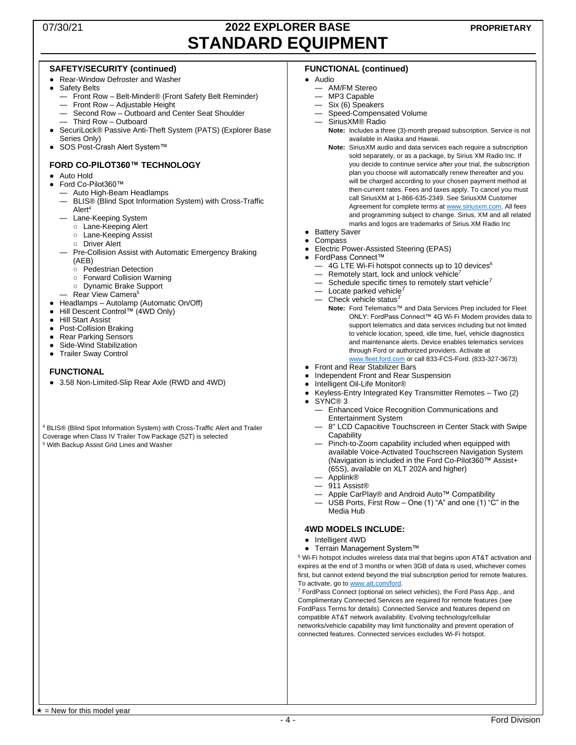### 07/30/21 **2022 EXPLORER BASE STANDARD EQUIPMENT**

#### **SAFETY/SECURITY (continued)**

- Rear-Window Defroster and Washer
- **Safety Belts** 
	- Front Row Belt-Minder® (Front Safety Belt Reminder)
	- Front Row Adjustable Height
	- Second Row Outboard and Center Seat Shoulder
	- Third Row Outboard
- SecuriLock® Passive Anti-Theft System (PATS) (Explorer Base Series Only)
- SOS Post-Crash Alert System™

#### **FORD CO-PILOT360™ TECHNOLOGY**

- Auto Hold
- Ford Co-Pilot360™
	- Auto High-Beam Headlamps
	- BLIS® (Blind Spot Information System) with Cross-Traffic Alert<sup>4</sup>
	- Lane-Keeping System
		- Lane-Keeping Alert
		- Lane-Keeping Assist
		- Driver Alert
	- Pre-Collision Assist with Automatic Emergency Braking (AEB)
		- Pedestrian Detection
		- Forward Collision Warning
		- Dynamic Brake Support
	- Rear View Camera<sup>5</sup>
- Headlamps Autolamp (Automatic On/Off)
- Hill Descent Control™ (4WD Only)
- Hill Start Assist
- Post-Collision Braking
- Rear Parking Sensors
- Side-Wind Stabilization
- Trailer Sway Control

#### **FUNCTIONAL**

● 3.58 Non-Limited-Slip Rear Axle (RWD and 4WD)

<sup>4</sup> BLIS® (Blind Spot Information System) with Cross-Traffic Alert and Trailer Coverage when Class IV Trailer Tow Package (52T) is selected <sup>5</sup> With Backup Assist Grid Lines and Washer

#### **FUNCTIONAL (continued)**

#### ● Audio

- AM/FM Stereo
- MP3 Capable
- Six (6) Speakers
- Speed-Compensated Volume
- SiriusXM® Radio
	- **Note:** Includes a three (3)-month prepaid subscription. Service is not available in Alaska and Hawaii.
	- **Note:** SiriusXM audio and data services each require a subscription sold separately, or as a package, by Sirius XM Radio Inc. If you decide to continue service after your trial, the subscription plan you choose will automatically renew thereafter and you will be charged according to your chosen payment method at then-current rates. Fees and taxes apply. To cancel you must call SiriusXM at 1-866-635-2349. See SiriusXM Customer Agreement for complete terms at [www.siriusxm.com.](http://www.siriusxm.com/) All fees and programming subject to change. Sirius, XM and all related marks and logos are trademarks of Sirius XM Radio Inc
- Battery Saver
- **Compass**
- <span id="page-3-0"></span>**Electric Power-Assisted Steering (EPAS)**
- FordPass Connect™
	- 4G LTE Wi-Fi hotspot connects up to 10 devices<sup>6</sup>
	- Remotely start, lock and unlock vehicle<sup>7</sup>
	- $-$  Sch[e](#page-3-0)dule specific times to remotely start vehicle<sup>7</sup>
	- $-$  Locate parked vehicle<sup>[7](#page-3-0)</sup>
	- $-$  Check vehicle [s](#page-3-0)tatus<sup>7</sup>
	- **Note:** Ford Telematics™ and Data Services Prep included for Fleet ONLY: FordPass Connect™ 4G Wi-Fi Modem provides data to support telematics and data services including but not limited to vehicle location, speed, idle time, fuel, vehicle diagnostics and maintenance alerts. Device enables telematics services through Ford or authorized providers. Activate at [www.fleet.ford.com](http://www.fleet.ford.com/) or call 833-FCS-Ford. (833-327-3673)
	- **Front and Rear Stabilizer Bars**
- Independent Front and Rear Suspension
- Intelligent Oil-Life Monitor®
- Keyless-Entry Integrated Key Transmitter Remotes Two  $(2)$
- SYNC® 3
	- Enhanced Voice Recognition Communications and Entertainment System
	- 8" LCD Capacitive Touchscreen in Center Stack with Swipe **Capability**
	- Pinch-to-Zoom capability included when equipped with available Voice-Activated Touchscreen Navigation System (Navigation is included in the Ford Co-Pilot360™ Assist+ (65S), available on XLT 202A and higher)
	- Applink®
	- 911 Assist®
	- Apple CarPlay® and Android Auto<sup>™</sup> Compatibility
	- USB Ports, First Row One (1) "A" and one (1) "C" in the Media Hub
- **4WD MODELS INCLUDE:**
- Intelligent 4WD
- Terrain Management System™

 $6$  Wi-Fi hotspot includes wireless data trial that begins upon AT&T activation and expires at the end of 3 months or when 3GB of data is used, whichever comes first, but cannot extend beyond the trial subscription period for remote features. To activate, go t[o www.att.com/ford.](http://www.att.com/ford)

<sup>7</sup> FordPass Connect (optional on select vehicles), the Ford Pass App., and Complimentary Connected Services are required for remote features (see FordPass Terms for details). Connected Service and features depend on compatible AT&T network availability. Evolving technology/cellular networks/vehicle capability may limit functionality and prevent operation of connected features. Connected services excludes Wi-Fi hotspot.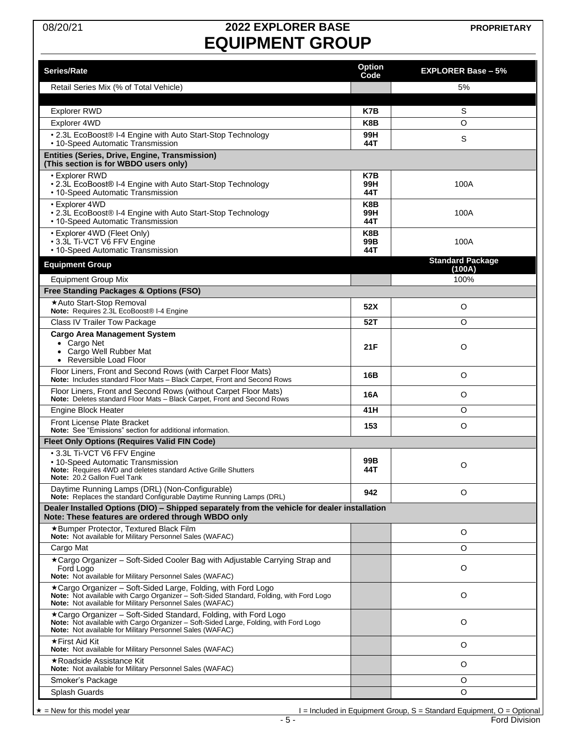# 08/20/21 **2022 EXPLORER BASE EQUIPMENT GROUP**

**PROPRIETARY**

| <b>Series/Rate</b>                                                                                                                                      | <b>Option</b><br>Code | <b>EXPLORER Base - 5%</b> |
|---------------------------------------------------------------------------------------------------------------------------------------------------------|-----------------------|---------------------------|
| Retail Series Mix (% of Total Vehicle)                                                                                                                  |                       | 5%                        |
|                                                                                                                                                         |                       |                           |
| <b>Explorer RWD</b>                                                                                                                                     | K7B                   | S                         |
| Explorer 4WD                                                                                                                                            | K8B                   | O                         |
| • 2.3L EcoBoost® I-4 Engine with Auto Start-Stop Technology<br>• 10-Speed Automatic Transmission                                                        | 99H<br>44T            | S                         |
| Entities (Series, Drive, Engine, Transmission)<br>(This section is for WBDO users only)                                                                 |                       |                           |
| • Explorer RWD                                                                                                                                          | K7B                   |                           |
| • 2.3L EcoBoost® I-4 Engine with Auto Start-Stop Technology<br>• 10-Speed Automatic Transmission                                                        | 99H<br>44T            | 100A                      |
| • Explorer 4WD                                                                                                                                          | K8B                   |                           |
| • 2.3L EcoBoost® I-4 Engine with Auto Start-Stop Technology<br>• 10-Speed Automatic Transmission                                                        | 99H<br>44T            | 100A                      |
| • Explorer 4WD (Fleet Only)                                                                                                                             | K8B                   |                           |
| • 3.3L Ti-VCT V6 FFV Engine<br>• 10-Speed Automatic Transmission                                                                                        | 99B<br>44T            | 100A                      |
| <b>Equipment Group</b>                                                                                                                                  |                       | <b>Standard Package</b>   |
| <b>Equipment Group Mix</b>                                                                                                                              |                       | (100A)<br>100%            |
| Free Standing Packages & Options (FSO)                                                                                                                  |                       |                           |
| *Auto Start-Stop Removal                                                                                                                                | 52X                   | O                         |
| Note: Requires 2.3L EcoBoost® I-4 Engine<br>Class IV Trailer Tow Package                                                                                | 52T                   | O                         |
| <b>Cargo Area Management System</b>                                                                                                                     |                       |                           |
| Cargo Net<br>$\bullet$                                                                                                                                  | 21F                   | $\circ$                   |
| Cargo Well Rubber Mat<br>$\bullet$<br>Reversible Load Floor                                                                                             |                       |                           |
| Floor Liners, Front and Second Rows (with Carpet Floor Mats)<br>Note: Includes standard Floor Mats - Black Carpet, Front and Second Rows                | 16B                   | O                         |
| Floor Liners, Front and Second Rows (without Carpet Floor Mats)                                                                                         | 16A                   | O                         |
| Note: Deletes standard Floor Mats - Black Carpet, Front and Second Rows                                                                                 | 41H                   | O                         |
| Engine Block Heater<br><b>Front License Plate Bracket</b>                                                                                               |                       |                           |
| Note: See "Emissions" section for additional information.                                                                                               | 153                   | O                         |
| <b>Fleet Only Options (Requires Valid FIN Code)</b>                                                                                                     |                       |                           |
| • 3.3L Ti-VCT V6 FFV Engine<br>• 10-Speed Automatic Transmission                                                                                        | 99B                   |                           |
| Note: Requires 4WD and deletes standard Active Grille Shutters                                                                                          | 44T                   | O                         |
| <b>Note:</b> 20.2 Gallon Fuel Tank<br>Daytime Running Lamps (DRL) (Non-Configurable)                                                                    |                       |                           |
| <b>Note:</b> Replaces the standard Configurable Daytime Running Lamps (DRL)                                                                             | 942                   | O                         |
| Dealer Installed Options (DIO) - Shipped separately from the vehicle for dealer installation<br>Note: These features are ordered through WBDO only      |                       |                           |
| *Bumper Protector, Textured Black Film<br>Note: Not available for Military Personnel Sales (WAFAC)                                                      |                       | O                         |
| Cargo Mat                                                                                                                                               |                       | O                         |
| ★Cargo Organizer – Soft-Sided Cooler Bag with Adjustable Carrying Strap and                                                                             |                       | O                         |
| Ford Logo<br>Note: Not available for Military Personnel Sales (WAFAC)                                                                                   |                       |                           |
| ★Cargo Organizer – Soft-Sided Large, Folding, with Ford Logo                                                                                            |                       | O                         |
| Note: Not available with Cargo Organizer - Soft-Sided Standard, Folding, with Ford Logo<br>Note: Not available for Military Personnel Sales (WAFAC)     |                       |                           |
| *Cargo Organizer - Soft-Sided Standard, Folding, with Ford Logo<br>Note: Not available with Cargo Organizer - Soft-Sided Large, Folding, with Ford Logo |                       | O                         |
| Note: Not available for Military Personnel Sales (WAFAC)                                                                                                |                       |                           |
| ★ First Aid Kit<br>Note: Not available for Military Personnel Sales (WAFAC)                                                                             |                       | O                         |
| ★Roadside Assistance Kit<br><b>Note:</b> Not available for Military Personnel Sales (WAFAC)                                                             |                       | O                         |
| Smoker's Package                                                                                                                                        |                       | O                         |
| Splash Guards                                                                                                                                           |                       | O                         |

 $\begin{array}{r} 1 = \text{included in Equipment Group, S = Standard Equipment, O = Optional} \\ \hline 5 - \end{array}$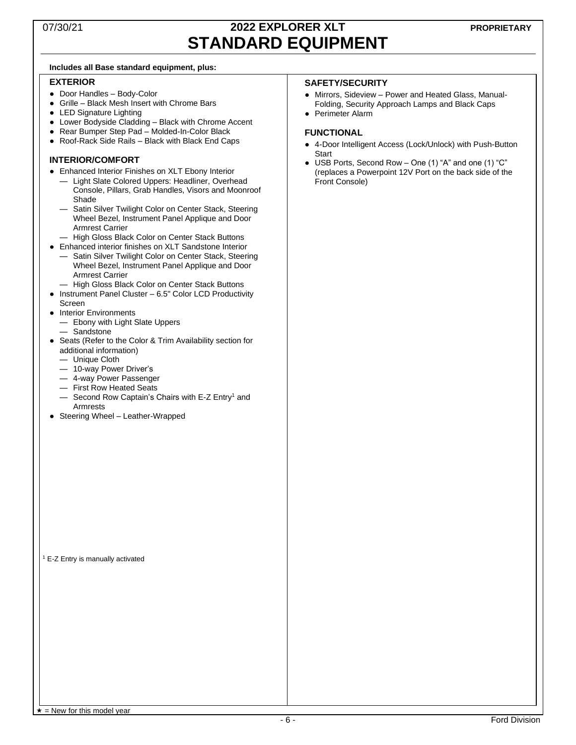### 07/30/21 **2022 EXPLORER XLT STANDARD EQUIPMENT**

#### **Includes all Base standard equipment, plus:**

#### **EXTERIOR**

- Door Handles Body-Color
- Grille Black Mesh Insert with Chrome Bars
- LED Signature Lighting
- Lower Bodyside Cladding Black with Chrome Accent
- Rear Bumper Step Pad Molded-In-Color Black
- Roof-Rack Side Rails Black with Black End Caps

#### **INTERIOR/COMFORT**

- Enhanced Interior Finishes on XLT Ebony Interior
	- Light Slate Colored Uppers: Headliner, Overhead Console, Pillars, Grab Handles, Visors and Moonroof Shade
	- Satin Silver Twilight Color on Center Stack, Steering Wheel Bezel, Instrument Panel Applique and Door Armrest Carrier
	- High Gloss Black Color on Center Stack Buttons
- Enhanced interior finishes on XLT Sandstone Interior
	- Satin Silver Twilight Color on Center Stack, Steering Wheel Bezel, Instrument Panel Applique and Door Armrest Carrier
	- High Gloss Black Color on Center Stack Buttons
- Instrument Panel Cluster 6.5" Color LCD Productivity Screen
- **Interior Environments** 
	- Ebony with Light Slate Uppers
	- Sandstone
- Seats (Refer to the Color & Trim Availability section for additional information)
	- Unique Cloth
	- 10-way Power Driver's
	- 4-way Power Passenger
	- First Row Heated Seats
	- $-$  Second Row Captain's Chairs with E-Z Entry<sup>1</sup> and Armrests
- Steering Wheel Leather-Wrapped

#### **SAFETY/SECURITY**

- Mirrors, Sideview Power and Heated Glass, Manual-Folding, Security Approach Lamps and Black Caps
- Perimeter Alarm

#### **FUNCTIONAL**

- 4-Door Intelligent Access (Lock/Unlock) with Push-Button **Start**
- USB Ports, Second Row One (1) "A" and one (1) "C" (replaces a Powerpoint 12V Port on the back side of the Front Console)

<sup>1</sup> E-Z Entry is manually activated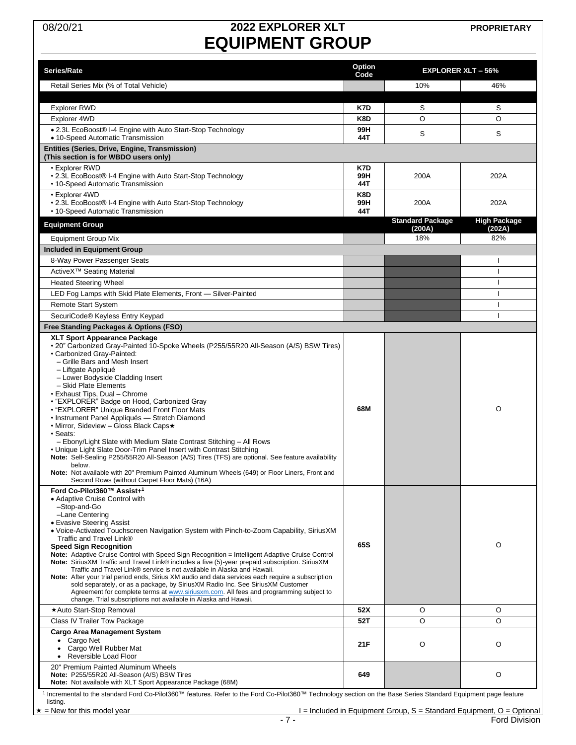# 08/20/21 **2022 EXPLORER XLT EQUIPMENT GROUP**

| Series/Rate                                                                                                                                                                                                                                                                                                                                                                                                                                                                                                                                                                                                                                                                                                                                                                                                                                                                                                                          | Option<br>Code    |                                   | <b>EXPLORER XLT - 56%</b>     |
|--------------------------------------------------------------------------------------------------------------------------------------------------------------------------------------------------------------------------------------------------------------------------------------------------------------------------------------------------------------------------------------------------------------------------------------------------------------------------------------------------------------------------------------------------------------------------------------------------------------------------------------------------------------------------------------------------------------------------------------------------------------------------------------------------------------------------------------------------------------------------------------------------------------------------------------|-------------------|-----------------------------------|-------------------------------|
| Retail Series Mix (% of Total Vehicle)                                                                                                                                                                                                                                                                                                                                                                                                                                                                                                                                                                                                                                                                                                                                                                                                                                                                                               |                   | 10%                               | 46%                           |
|                                                                                                                                                                                                                                                                                                                                                                                                                                                                                                                                                                                                                                                                                                                                                                                                                                                                                                                                      |                   |                                   |                               |
| <b>Explorer RWD</b>                                                                                                                                                                                                                                                                                                                                                                                                                                                                                                                                                                                                                                                                                                                                                                                                                                                                                                                  | K7D               | S                                 | S                             |
| Explorer 4WD                                                                                                                                                                                                                                                                                                                                                                                                                                                                                                                                                                                                                                                                                                                                                                                                                                                                                                                         | K8D               | O                                 | O                             |
| • 2.3L EcoBoost® I-4 Engine with Auto Start-Stop Technology<br>• 10-Speed Automatic Transmission                                                                                                                                                                                                                                                                                                                                                                                                                                                                                                                                                                                                                                                                                                                                                                                                                                     | 99H<br>44T        | S                                 | S                             |
| <b>Entities (Series, Drive, Engine, Transmission)</b><br>(This section is for WBDO users only)                                                                                                                                                                                                                                                                                                                                                                                                                                                                                                                                                                                                                                                                                                                                                                                                                                       |                   |                                   |                               |
| • Explorer RWD<br>• 2.3L EcoBoost® I-4 Engine with Auto Start-Stop Technology<br>• 10-Speed Automatic Transmission                                                                                                                                                                                                                                                                                                                                                                                                                                                                                                                                                                                                                                                                                                                                                                                                                   | K7D<br>99H<br>44T | 200A                              | 202A                          |
| • Explorer 4WD<br>• 2.3L EcoBoost® I-4 Engine with Auto Start-Stop Technology<br>• 10-Speed Automatic Transmission                                                                                                                                                                                                                                                                                                                                                                                                                                                                                                                                                                                                                                                                                                                                                                                                                   | K8D<br>99H<br>44T | 200A                              | 202A                          |
| <b>Equipment Group</b>                                                                                                                                                                                                                                                                                                                                                                                                                                                                                                                                                                                                                                                                                                                                                                                                                                                                                                               |                   | <b>Standard Package</b><br>(200A) | <b>High Package</b><br>(202A) |
| <b>Equipment Group Mix</b>                                                                                                                                                                                                                                                                                                                                                                                                                                                                                                                                                                                                                                                                                                                                                                                                                                                                                                           |                   | 18%                               | 82%                           |
| Included in Equipment Group                                                                                                                                                                                                                                                                                                                                                                                                                                                                                                                                                                                                                                                                                                                                                                                                                                                                                                          |                   |                                   |                               |
| 8-Way Power Passenger Seats                                                                                                                                                                                                                                                                                                                                                                                                                                                                                                                                                                                                                                                                                                                                                                                                                                                                                                          |                   |                                   |                               |
| ActiveX <sup>™</sup> Seating Material                                                                                                                                                                                                                                                                                                                                                                                                                                                                                                                                                                                                                                                                                                                                                                                                                                                                                                |                   |                                   |                               |
| <b>Heated Steering Wheel</b>                                                                                                                                                                                                                                                                                                                                                                                                                                                                                                                                                                                                                                                                                                                                                                                                                                                                                                         |                   |                                   | ı                             |
| LED Fog Lamps with Skid Plate Elements, Front - Silver-Painted                                                                                                                                                                                                                                                                                                                                                                                                                                                                                                                                                                                                                                                                                                                                                                                                                                                                       |                   |                                   | ı                             |
| <b>Remote Start System</b>                                                                                                                                                                                                                                                                                                                                                                                                                                                                                                                                                                                                                                                                                                                                                                                                                                                                                                           |                   |                                   |                               |
| SecuriCode® Keyless Entry Keypad                                                                                                                                                                                                                                                                                                                                                                                                                                                                                                                                                                                                                                                                                                                                                                                                                                                                                                     |                   |                                   |                               |
| Free Standing Packages & Options (FSO)                                                                                                                                                                                                                                                                                                                                                                                                                                                                                                                                                                                                                                                                                                                                                                                                                                                                                               |                   |                                   |                               |
| • 20" Carbonized Gray-Painted 10-Spoke Wheels (P255/55R20 All-Season (A/S) BSW Tires)<br>• Carbonized Gray-Painted:<br>- Grille Bars and Mesh Insert<br>- Liftgate Appliqué<br>- Lower Bodyside Cladding Insert<br>- Skid Plate Elements<br>• Exhaust Tips, Dual - Chrome<br>• "EXPLORER" Badge on Hood, Carbonized Gray<br>• "EXPLORER" Unique Branded Front Floor Mats<br>• Instrument Panel Appliqués - Stretch Diamond<br>• Mirror, Sideview – Gloss Black Caps★<br>· Seats:<br>- Ebony/Light Slate with Medium Slate Contrast Stitching - All Rows<br>• Unique Light Slate Door-Trim Panel Insert with Contrast Stitching<br>Note: Self-Sealing P255/55R20 All-Season (A/S) Tires (TFS) are optional. See feature availability<br>below.<br>Note: Not available with 20" Premium Painted Aluminum Wheels (649) or Floor Liners, Front and<br>Second Rows (without Carpet Floor Mats) (16A)                                      | 68M               |                                   | O                             |
| Ford Co-Pilot360™ Assist+ <sup>1</sup><br>• Adaptive Cruise Control with<br>-Stop-and-Go<br>-Lane Centering<br>• Evasive Steering Assist<br>. Voice-Activated Touchscreen Navigation System with Pinch-to-Zoom Capability, SiriusXM<br>Traffic and Travel Link®<br><b>Speed Sign Recognition</b><br>Note: Adaptive Cruise Control with Speed Sign Recognition = Intelligent Adaptive Cruise Control<br>Note: SiriusXM Traffic and Travel Link® includes a five (5)-year prepaid subscription. SiriusXM<br>Traffic and Travel Link® service is not available in Alaska and Hawaii.<br>Note: After your trial period ends, Sirius XM audio and data services each require a subscription<br>sold separately, or as a package, by SiriusXM Radio Inc. See SiriusXM Customer<br>Agreement for complete terms at www.siriusxm.com. All fees and programming subject to<br>change. Trial subscriptions not available in Alaska and Hawaii. | 65S               |                                   | O                             |
| ★Auto Start-Stop Removal                                                                                                                                                                                                                                                                                                                                                                                                                                                                                                                                                                                                                                                                                                                                                                                                                                                                                                             | 52X               | O                                 | O                             |
| Class IV Trailer Tow Package                                                                                                                                                                                                                                                                                                                                                                                                                                                                                                                                                                                                                                                                                                                                                                                                                                                                                                         | 52T               | O                                 | O                             |
| <b>Cargo Area Management System</b><br>• Cargo Net<br>Cargo Well Rubber Mat<br>٠<br>Reversible Load Floor                                                                                                                                                                                                                                                                                                                                                                                                                                                                                                                                                                                                                                                                                                                                                                                                                            | 21F               | O                                 | O                             |
| 20" Premium Painted Aluminum Wheels<br>Note: P255/55R20 All-Season (A/S) BSW Tires<br>Note: Not available with XLT Sport Appearance Package (68M)<br>1 Incremental to the standard Ford Co-Pilot360™ features. Refer to the Ford Co-Pilot360™ Technology section on the Base Series Standard Fquinment page feature                                                                                                                                                                                                                                                                                                                                                                                                                                                                                                                                                                                                                  | 649               |                                   | O                             |

t360™ features. Refer to the Ford Co-Pilot360™ Technology section on the Base Series Standard Equipment page feat listing.

 $\frac{1}{1}$  = Included in Equipment Group, S = Standard Equipment, O = Optional<br>Ford Division - 7 -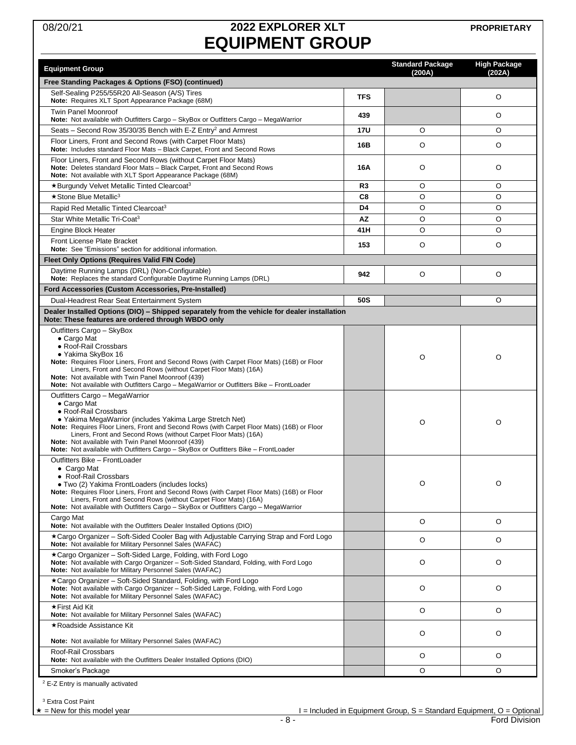# 08/20/21 **2022 EXPLORER XLT EQUIPMENT GROUP**

<span id="page-7-0"></span>

| <b>Equipment Group</b>                                                                                                                                                                                                                                                                                                                                                                                                                                          |            | <b>Standard Package</b><br>(200A) | <b>High Package</b><br>(202A) |
|-----------------------------------------------------------------------------------------------------------------------------------------------------------------------------------------------------------------------------------------------------------------------------------------------------------------------------------------------------------------------------------------------------------------------------------------------------------------|------------|-----------------------------------|-------------------------------|
| Free Standing Packages & Options (FSO) (continued)                                                                                                                                                                                                                                                                                                                                                                                                              |            |                                   |                               |
| Self-Sealing P255/55R20 All-Season (A/S) Tires<br>Note: Requires XLT Sport Appearance Package (68M)                                                                                                                                                                                                                                                                                                                                                             | <b>TFS</b> |                                   | O                             |
| <b>Twin Panel Moonroof</b><br>Note: Not available with Outfitters Cargo - SkyBox or Outfitters Cargo - MegaWarrior                                                                                                                                                                                                                                                                                                                                              | 439        |                                   | O                             |
| Seats - Second Row 35/30/35 Bench with E-Z Entry <sup>2</sup> and Armrest                                                                                                                                                                                                                                                                                                                                                                                       | <b>17U</b> | O                                 | O                             |
| Floor Liners, Front and Second Rows (with Carpet Floor Mats)<br><b>Note:</b> Includes standard Floor Mats - Black Carpet, Front and Second Rows                                                                                                                                                                                                                                                                                                                 | 16B        | O                                 | O                             |
| Floor Liners, Front and Second Rows (without Carpet Floor Mats)<br>Note: Deletes standard Floor Mats - Black Carpet, Front and Second Rows<br>Note: Not available with XLT Sport Appearance Package (68M)                                                                                                                                                                                                                                                       | 16A        | O                                 | O                             |
| ★Burgundy Velvet Metallic Tinted Clearcoat <sup>3</sup>                                                                                                                                                                                                                                                                                                                                                                                                         | R3         | O                                 | O                             |
| $\star$ Stone Blue Metallic <sup>3</sup>                                                                                                                                                                                                                                                                                                                                                                                                                        | C8         | O                                 | O                             |
| Rapid Red Metallic Tinted Clearcoat <sup>3</sup>                                                                                                                                                                                                                                                                                                                                                                                                                | D4         | O                                 | O                             |
| Star White Metallic Tri-Coat <sup>3</sup>                                                                                                                                                                                                                                                                                                                                                                                                                       | <b>AZ</b>  | O                                 | O                             |
| <b>Engine Block Heater</b>                                                                                                                                                                                                                                                                                                                                                                                                                                      | 41H        | O                                 | O                             |
| <b>Front License Plate Bracket</b><br>Note: See "Emissions" section for additional information.                                                                                                                                                                                                                                                                                                                                                                 | 153        | O                                 | O                             |
| <b>Fleet Only Options (Requires Valid FIN Code)</b>                                                                                                                                                                                                                                                                                                                                                                                                             |            |                                   |                               |
| Daytime Running Lamps (DRL) (Non-Configurable)<br>Note: Replaces the standard Configurable Daytime Running Lamps (DRL)                                                                                                                                                                                                                                                                                                                                          | 942        | O                                 | O                             |
| <b>Ford Accessories (Custom Accessories, Pre-Installed)</b>                                                                                                                                                                                                                                                                                                                                                                                                     |            |                                   |                               |
| Dual-Headrest Rear Seat Entertainment System                                                                                                                                                                                                                                                                                                                                                                                                                    | 50S        |                                   | O                             |
| Dealer Installed Options (DIO) – Shipped separately from the vehicle for dealer installation                                                                                                                                                                                                                                                                                                                                                                    |            |                                   |                               |
| Note: These features are ordered through WBDO only<br>Outfitters Cargo - SkyBox                                                                                                                                                                                                                                                                                                                                                                                 |            |                                   |                               |
| $\bullet$ Cargo Mat<br>· Roof-Rail Crossbars<br>• Yakima SkyBox 16<br>Note: Requires Floor Liners, Front and Second Rows (with Carpet Floor Mats) (16B) or Floor<br>Liners, Front and Second Rows (without Carpet Floor Mats) (16A)<br>Note: Not available with Twin Panel Moonroof (439)<br>Note: Not available with Outfitters Cargo - MegaWarrior or Outfitters Bike - FrontLoader                                                                           |            | O                                 | O                             |
| Outfitters Cargo - MegaWarrior<br>$\bullet$ Cargo Mat<br>• Roof-Rail Crossbars<br>• Yakima MegaWarrior (includes Yakima Large Stretch Net)<br>Note: Requires Floor Liners, Front and Second Rows (with Carpet Floor Mats) (16B) or Floor<br>Liners, Front and Second Rows (without Carpet Floor Mats) (16A)<br><b>Note:</b> Not available with Twin Panel Moonroof (439)<br>Note: Not available with Outfitters Cargo - SkyBox or Outfitters Bike - FrontLoader |            | O                                 | O                             |
| Outfitters Bike - FrontLoader<br>$\bullet$ Cargo Mat<br>• Roof-Rail Crossbars<br>• Two (2) Yakima FrontLoaders (includes locks)<br>Note: Requires Floor Liners, Front and Second Rows (with Carpet Floor Mats) (16B) or Floor<br>Liners, Front and Second Rows (without Carpet Floor Mats) (16A)<br>Note: Not available with Outfitters Cargo - SkyBox or Outfitters Cargo - MegaWarrior                                                                        |            | O                                 | O                             |
| Cargo Mat<br>Note: Not available with the Outfitters Dealer Installed Options (DIO)                                                                                                                                                                                                                                                                                                                                                                             |            | O                                 | O                             |
| *Cargo Organizer - Soft-Sided Cooler Bag with Adjustable Carrying Strap and Ford Logo<br>Note: Not available for Military Personnel Sales (WAFAC)                                                                                                                                                                                                                                                                                                               |            | O                                 | O                             |
| *Cargo Organizer - Soft-Sided Large, Folding, with Ford Logo<br>Note: Not available with Cargo Organizer - Soft-Sided Standard, Folding, with Ford Logo<br>Note: Not available for Military Personnel Sales (WAFAC)                                                                                                                                                                                                                                             |            | O                                 | O                             |
| ★Cargo Organizer – Soft-Sided Standard, Folding, with Ford Logo<br>Note: Not available with Cargo Organizer - Soft-Sided Large, Folding, with Ford Logo<br>Note: Not available for Military Personnel Sales (WAFAC)                                                                                                                                                                                                                                             |            | O                                 | O                             |
| ★First Aid Kit<br>Note: Not available for Military Personnel Sales (WAFAC)                                                                                                                                                                                                                                                                                                                                                                                      |            | O                                 | O                             |
| ★Roadside Assistance Kit                                                                                                                                                                                                                                                                                                                                                                                                                                        |            |                                   |                               |
| Note: Not available for Military Personnel Sales (WAFAC)                                                                                                                                                                                                                                                                                                                                                                                                        |            | O                                 | O                             |
| Roof-Rail Crossbars<br>Note: Not available with the Outfitters Dealer Installed Options (DIO)                                                                                                                                                                                                                                                                                                                                                                   |            | O                                 | O                             |
| Smoker's Package                                                                                                                                                                                                                                                                                                                                                                                                                                                |            | O                                 | O                             |
| <sup>2</sup> E-Z Entry is manually activated                                                                                                                                                                                                                                                                                                                                                                                                                    |            |                                   |                               |

<sup>3</sup> Extra Cost Paint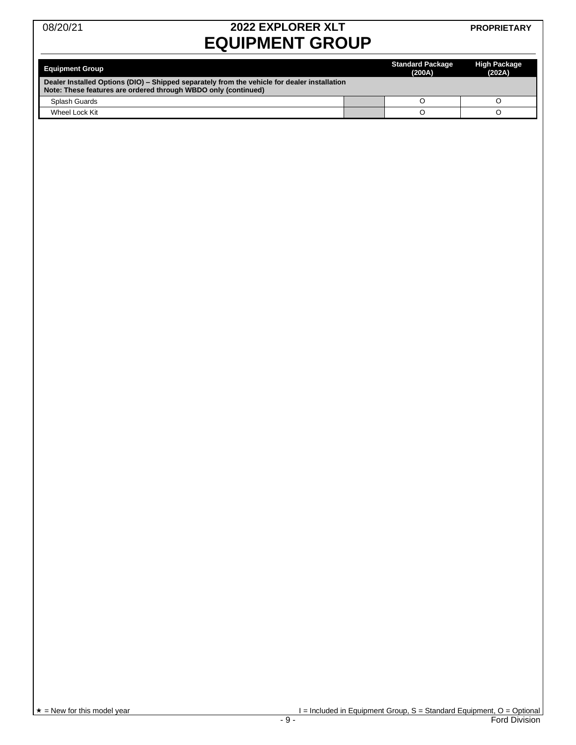# 08/20/21 **2022 EXPLORER XLT EQUIPMENT GROUP**

#### **PROPRIETARY**

| <b>Equipment Group</b>                                                                                                                                         | <b>Standard Package</b><br>(200A) | <b>High Package</b><br>(202A) |  |
|----------------------------------------------------------------------------------------------------------------------------------------------------------------|-----------------------------------|-------------------------------|--|
| Dealer Installed Options (DIO) – Shipped separately from the vehicle for dealer installation<br>Note: These features are ordered through WBDO only (continued) |                                   |                               |  |
| Splash Guards                                                                                                                                                  |                                   |                               |  |
| Wheel Lock Kit                                                                                                                                                 |                                   |                               |  |

 $\star$  = New for this model year  $\star$  = Included in Equipment Group, S = Standard Equipment, O = Optional<br>- 9 -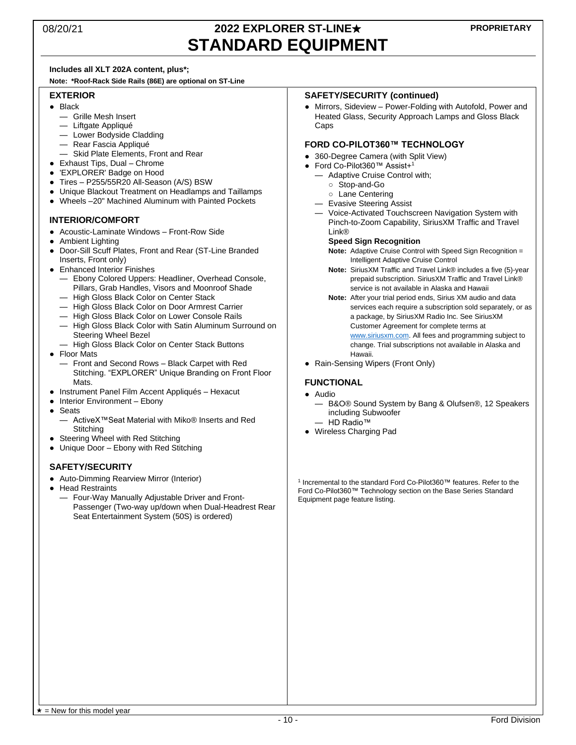### 08/20/21 **2022 EXPLORER ST-LINE**★ **STANDARD EQUIPMENT**

#### **Includes all XLT 202A content, plus\*;**

**Note: \*Roof-Rack Side Rails (86E) are optional on ST-Line**

#### **EXTERIOR**

- Black
	- Grille Mesh Insert
	- Liftgate Appliqué
	- Lower Bodyside Cladding
	- Rear Fascia Appliqué
	- Skid Plate Elements, Front and Rear
- Exhaust Tips, Dual Chrome
- 'EXPLORER' Badge on Hood
- Tires P255/55R20 All-Season (A/S) BSW
- Unique Blackout Treatment on Headlamps and Taillamps
- Wheels –20" Machined Aluminum with Painted Pockets

#### **INTERIOR/COMFORT**

- Acoustic-Laminate Windows Front-Row Side
- Ambient Lighting
- Door-Sill Scuff Plates, Front and Rear (ST-Line Branded Inserts, Front only)
- Enhanced Interior Finishes
	- Ebony Colored Uppers: Headliner, Overhead Console, Pillars, Grab Handles, Visors and Moonroof Shade
	- High Gloss Black Color on Center Stack
	- High Gloss Black Color on Door Armrest Carrier
	- High Gloss Black Color on Lower Console Rails
	- High Gloss Black Color with Satin Aluminum Surround on Steering Wheel Bezel
	- High Gloss Black Color on Center Stack Buttons
- Floor Mats
	- Front and Second Rows Black Carpet with Red Stitching. "EXPLORER" Unique Branding on Front Floor **Mats**
- Instrument Panel Film Accent Appliqués Hexacut
- Interior Environment Ebony
- Seats
	- ActiveX™Seat Material with Miko® Inserts and Red **Stitching**
- Steering Wheel with Red Stitching
- Unique Door Ebony with Red Stitching

#### **SAFETY/SECURITY**

- Auto-Dimming Rearview Mirror (Interior)
- Head Restraints
	- Four-Way Manually Adjustable Driver and Front-Passenger (Two-way up/down when Dual-Headrest Rear Seat Entertainment System (50S) is ordered)

#### **SAFETY/SECURITY (continued)**

• Mirrors, Sideview – Power-Folding with Autofold, Power and Heated Glass, Security Approach Lamps and Gloss Black **Caps** 

#### **FORD CO-PILOT360™ TECHNOLOGY**

- 360-Degree Camera (with Split View)
- Ford Co-Pilot360™ Assist+ 1
	- Adaptive Cruise Control with;
		- Stop-and-Go
		- Lane Centering
	- Evasive Steering Assist
	- Voice-Activated Touchscreen Navigation System with Pinch-to-Zoom Capability, SiriusXM Traffic and Travel Link®

#### **Speed Sign Recognition**

- **Note:** Adaptive Cruise Control with Speed Sign Recognition = Intelligent Adaptive Cruise Control
- **Note:** SiriusXM Traffic and Travel Link® includes a five (5)-year prepaid subscription. SiriusXM Traffic and Travel Link® service is not available in Alaska and Hawaii
- **Note:** After your trial period ends, Sirius XM audio and data services each require a subscription sold separately, or as a package, by SiriusXM Radio Inc. See SiriusXM Customer Agreement for complete terms at [www.siriusxm.com.](http://www.siriusxm.com/) All fees and programming subject to change. Trial subscriptions not available in Alaska and Hawaii.
- Rain-Sensing Wipers (Front Only)

#### **FUNCTIONAL**

- Audio
	- B&O® Sound System by Bang & Olufsen®, 12 Speakers including Subwoofer
	- HD Radio™
- Wireless Charging Pad

1 Incremental to the standard Ford Co-Pilot360™ features. Refer to the Ford Co-Pilot360™ Technology section on the Base Series Standard Equipment page feature listing.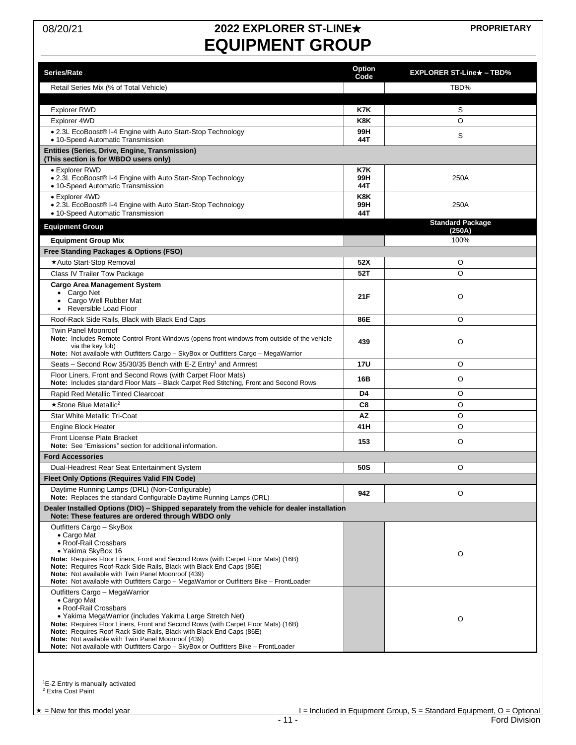# 08/20/21 **2022 EXPLORER ST-LINE**★ **EQUIPMENT GROUP**

| Series/Rate                                                                                                                                                                                                                                                                                                                                                                                                                                  | Option<br>Code    | $EXPLORER ST-Line\star - TBD%$ |
|----------------------------------------------------------------------------------------------------------------------------------------------------------------------------------------------------------------------------------------------------------------------------------------------------------------------------------------------------------------------------------------------------------------------------------------------|-------------------|--------------------------------|
| Retail Series Mix (% of Total Vehicle)                                                                                                                                                                                                                                                                                                                                                                                                       |                   | TBD%                           |
|                                                                                                                                                                                                                                                                                                                                                                                                                                              |                   |                                |
| <b>Explorer RWD</b>                                                                                                                                                                                                                                                                                                                                                                                                                          | K7K               | S                              |
| Explorer 4WD                                                                                                                                                                                                                                                                                                                                                                                                                                 | K8K               | O                              |
| • 2.3L EcoBoost® I-4 Engine with Auto Start-Stop Technology<br>• 10-Speed Automatic Transmission                                                                                                                                                                                                                                                                                                                                             | 99H<br>44T        | S                              |
| Entities (Series, Drive, Engine, Transmission)                                                                                                                                                                                                                                                                                                                                                                                               |                   |                                |
| (This section is for WBDO users only)                                                                                                                                                                                                                                                                                                                                                                                                        |                   |                                |
| • Explorer RWD<br>• 2.3L EcoBoost® I-4 Engine with Auto Start-Stop Technology<br>• 10-Speed Automatic Transmission                                                                                                                                                                                                                                                                                                                           | K7K<br>99H<br>44T | 250A                           |
| • Explorer 4WD<br>• 2.3L EcoBoost® I-4 Engine with Auto Start-Stop Technology<br>• 10-Speed Automatic Transmission                                                                                                                                                                                                                                                                                                                           | K8K<br>99H<br>44T | 250A                           |
| <b>Equipment Group</b>                                                                                                                                                                                                                                                                                                                                                                                                                       |                   | <b>Standard Package</b>        |
| <b>Equipment Group Mix</b>                                                                                                                                                                                                                                                                                                                                                                                                                   |                   | (250A)<br>100%                 |
| Free Standing Packages & Options (FSO)                                                                                                                                                                                                                                                                                                                                                                                                       |                   |                                |
| *Auto Start-Stop Removal                                                                                                                                                                                                                                                                                                                                                                                                                     | 52X               | O                              |
| Class IV Trailer Tow Package                                                                                                                                                                                                                                                                                                                                                                                                                 | 52T               | O                              |
| <b>Cargo Area Management System</b><br>• Cargo Net<br>• Cargo Well Rubber Mat                                                                                                                                                                                                                                                                                                                                                                | 21F               | O                              |
| Reversible Load Floor                                                                                                                                                                                                                                                                                                                                                                                                                        |                   |                                |
| Roof-Rack Side Rails, Black with Black End Caps                                                                                                                                                                                                                                                                                                                                                                                              | 86E               | O                              |
| <b>Twin Panel Moonroof</b><br>Note: Includes Remote Control Front Windows (opens front windows from outside of the vehicle<br>via the key fob)<br>Note: Not available with Outfitters Cargo - SkyBox or Outfitters Cargo - MegaWarrior                                                                                                                                                                                                       | 439               | O                              |
| Seats - Second Row 35/30/35 Bench with E-Z Entry <sup>1</sup> and Armrest                                                                                                                                                                                                                                                                                                                                                                    | <b>17U</b>        | O                              |
| Floor Liners, Front and Second Rows (with Carpet Floor Mats)<br>Note: Includes standard Floor Mats - Black Carpet Red Stitching, Front and Second Rows                                                                                                                                                                                                                                                                                       | 16B               | O                              |
| Rapid Red Metallic Tinted Clearcoat                                                                                                                                                                                                                                                                                                                                                                                                          | D4                | O                              |
| ★ Stone Blue Metallic <sup>2</sup>                                                                                                                                                                                                                                                                                                                                                                                                           | C8                | O                              |
| <b>Star White Metallic Tri-Coat</b>                                                                                                                                                                                                                                                                                                                                                                                                          | AZ                | O                              |
| Engine Block Heater                                                                                                                                                                                                                                                                                                                                                                                                                          | 41H               | O                              |
| Front License Plate Bracket                                                                                                                                                                                                                                                                                                                                                                                                                  | 153               | O                              |
| Note: See "Emissions" section for additional information.                                                                                                                                                                                                                                                                                                                                                                                    |                   |                                |
| <b>Ford Accessories</b>                                                                                                                                                                                                                                                                                                                                                                                                                      |                   |                                |
| Dual-Headrest Rear Seat Entertainment System                                                                                                                                                                                                                                                                                                                                                                                                 | 50S               | O                              |
| Fleet Only Options (Requires Valid FIN Code)                                                                                                                                                                                                                                                                                                                                                                                                 |                   |                                |
| Daytime Running Lamps (DRL) (Non-Configurable)<br>Note: Replaces the standard Configurable Daytime Running Lamps (DRL)                                                                                                                                                                                                                                                                                                                       | 942               | O                              |
| Dealer Installed Options (DIO) - Shipped separately from the vehicle for dealer installation<br>Note: These features are ordered through WBDO only                                                                                                                                                                                                                                                                                           |                   |                                |
| Outfitters Cargo - SkyBox<br>• Cargo Mat<br>• Roof-Rail Crossbars<br>· Yakima SkyBox 16<br>Note: Requires Floor Liners, Front and Second Rows (with Carpet Floor Mats) (16B)<br>Note: Requires Roof-Rack Side Rails, Black with Black End Caps (86E)<br>Note: Not available with Twin Panel Moonroof (439)<br>Note: Not available with Outfitters Cargo - MegaWarrior or Outfitters Bike - FrontLoader                                       |                   | O                              |
| Outfitters Cargo - MegaWarrior<br>• Cargo Mat<br>• Roof-Rail Crossbars<br>· Yakima MegaWarrior (includes Yakima Large Stretch Net)<br>Note: Requires Floor Liners, Front and Second Rows (with Carpet Floor Mats) (16B)<br>Note: Requires Roof-Rack Side Rails, Black with Black End Caps (86E)<br>Note: Not available with Twin Panel Moonroof (439)<br>Note: Not available with Outfitters Cargo - SkyBox or Outfitters Bike - FrontLoader |                   | O                              |

<sup>1</sup>E-Z Entry is manually activated <sup>2</sup> Extra Cost Paint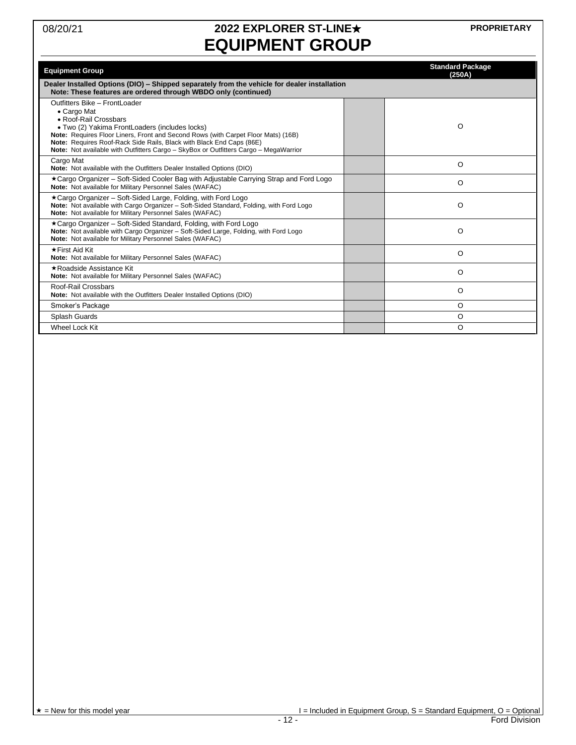# 08/20/21 **2022 EXPLORER ST-LINE**★ **EQUIPMENT GROUP**

**PROPRIETARY**

| <b>Equipment Group</b>                                                                                                                                                                                                                                                                                                                                                       | <b>Standard Package</b><br>(250A) |
|------------------------------------------------------------------------------------------------------------------------------------------------------------------------------------------------------------------------------------------------------------------------------------------------------------------------------------------------------------------------------|-----------------------------------|
| Dealer Installed Options (DIO) - Shipped separately from the vehicle for dealer installation<br>Note: These features are ordered through WBDO only (continued)                                                                                                                                                                                                               |                                   |
| Outfitters Bike - FrontLoader<br>• Cargo Mat<br>• Roof-Rail Crossbars<br>• Two (2) Yakima FrontLoaders (includes locks)<br>Note: Requires Floor Liners, Front and Second Rows (with Carpet Floor Mats) (16B)<br>Note: Requires Roof-Rack Side Rails, Black with Black End Caps (86E)<br>Note: Not available with Outfitters Cargo - SkyBox or Outfitters Cargo - MegaWarrior | O                                 |
| Cargo Mat<br>Note: Not available with the Outfitters Dealer Installed Options (DIO)                                                                                                                                                                                                                                                                                          | O                                 |
| ★Cargo Organizer – Soft-Sided Cooler Bag with Adjustable Carrying Strap and Ford Logo<br>Note: Not available for Military Personnel Sales (WAFAC)                                                                                                                                                                                                                            | O                                 |
| ★Cargo Organizer – Soft-Sided Large, Folding, with Ford Logo<br>Note: Not available with Cargo Organizer - Soft-Sided Standard, Folding, with Ford Logo<br>Note: Not available for Military Personnel Sales (WAFAC)                                                                                                                                                          | O                                 |
| *Cargo Organizer - Soft-Sided Standard, Folding, with Ford Logo<br>Note: Not available with Cargo Organizer - Soft-Sided Large, Folding, with Ford Logo<br>Note: Not available for Military Personnel Sales (WAFAC)                                                                                                                                                          | $\Omega$                          |
| ★First Aid Kit<br>Note: Not available for Military Personnel Sales (WAFAC)                                                                                                                                                                                                                                                                                                   | O                                 |
| ★Roadside Assistance Kit<br>Note: Not available for Military Personnel Sales (WAFAC)                                                                                                                                                                                                                                                                                         | O                                 |
| Roof-Rail Crossbars<br>Note: Not available with the Outfitters Dealer Installed Options (DIO)                                                                                                                                                                                                                                                                                | O                                 |
| Smoker's Package                                                                                                                                                                                                                                                                                                                                                             | O                                 |
| Splash Guards                                                                                                                                                                                                                                                                                                                                                                | O                                 |
| Wheel Lock Kit                                                                                                                                                                                                                                                                                                                                                               | O                                 |

 $\begin{array}{c}\n \star = \text{New for this model year} \\
\hline\n \star = \text{New for this model year}\n \end{array}$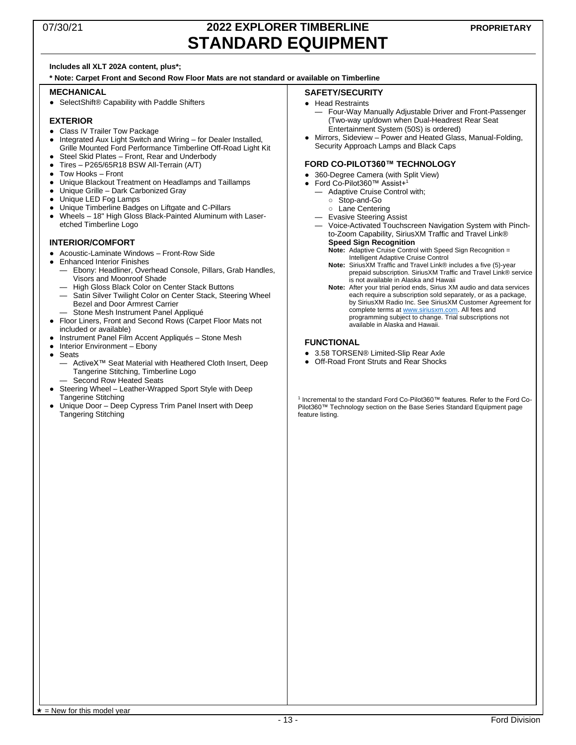### 07/30/21 **2022 EXPLORER TIMBERLINE STANDARD EQUIPMENT**

#### **Includes all XLT 202A content, plus\*;**

**\* Note: Carpet Front and Second Row Floor Mats are not standard or available on Timberline**

#### **MECHANICAL**

● SelectShift® Capability with Paddle Shifters

#### **EXTERIOR**

- Class IV Trailer Tow Package
- Integrated Aux Light Switch and Wiring for Dealer Installed, Grille Mounted Ford Performance Timberline Off-Road Light Kit
- Steel Skid Plates Front, Rear and Underbody ● Tires – P265/65R18 BSW All-Terrain (A/T)
- 
- Tow Hooks Front
- Unique Blackout Treatment on Headlamps and Taillamps
- Unique Grille Dark Carbonized Gray
- Unique LED Fog Lamps
- Unique Timberline Badges on Liftgate and C-Pillars
- Wheels 18" High Gloss Black-Painted Aluminum with Laseretched Timberline Logo

#### **INTERIOR/COMFORT**

- Acoustic-Laminate Windows Front-Row Side
- Enhanced Interior Finishes
	- Ebony: Headliner, Overhead Console, Pillars, Grab Handles, Visors and Moonroof Shade
		- High Gloss Black Color on Center Stack Buttons
	- Satin Silver Twilight Color on Center Stack, Steering Wheel Bezel and Door Armrest Carrier Stone Mesh Instrument Panel Appliqué
- Floor Liners, Front and Second Rows (Carpet Floor Mats not included or available)
- Instrument Panel Film Accent Appliqués Stone Mesh
- Interior Environment Ebony
- Seats
	- ActiveX<sup>™</sup> Seat Material with Heathered Cloth Insert, Deep Tangerine Stitching, Timberline Logo Second Row Heated Seats
	-
- Steering Wheel Leather-Wrapped Sport Style with Deep Tangerine Stitching
- Unique Door Deep Cypress Trim Panel Insert with Deep Tangering Stitching

#### **SAFETY/SECURITY**

#### ● Head Restraints

- Four-Way Manually Adjustable Driver and Front-Passenger (Two-way up/down when Dual-Headrest Rear Seat Entertainment System (50S) is ordered)
- Mirrors, Sideview Power and Heated Glass, Manual-Folding, Security Approach Lamps and Black Caps

#### **FORD CO-PILOT360™ TECHNOLOGY**

- 360-Degree Camera (with Split View)
- Ford Co-Pilot360™ Assist+<sup>1</sup>
	- Adaptive Cruise Control with;
		- Stop-and-Go
		- Lane Centering
	- Evasive Steering Assist
	- Voice-Activated Touchscreen Navigation System with Pinchto-Zoom Capability, SiriusXM Traffic and Travel Link® **Speed Sign Recognition**
		- **Note:** Adaptive Cruise Control with Speed Sign Recognition = Intelligent Adaptive Cruise Control
		- **Note:** SiriusXM Traffic and Travel Link® includes a five (5)-year prepaid subscription. SiriusXM Traffic and Travel Link® service is not available in Alaska and Hawaii
		- **Note:** After your trial period ends, Sirius XM audio and data services each require a subscription sold separately, or as a package, by SiriusXM Radio Inc. See SiriusXM Customer Agreement for complete terms a[t www.siriusxm.com.](http://www.siriusxm.com/) All fees and programming subject to change. Trial subscriptions not available in Alaska and Hawaii.

#### **FUNCTIONAL**

- 3.58 TORSEN® Limited-Slip Rear Axle
- Off-Road Front Struts and Rear Shocks

1 Incremental to the standard Ford Co-Pilot360™ features. Refer to the Ford Co-Pilot360™ Technology section on the Base Series Standard Equipment page feature listing.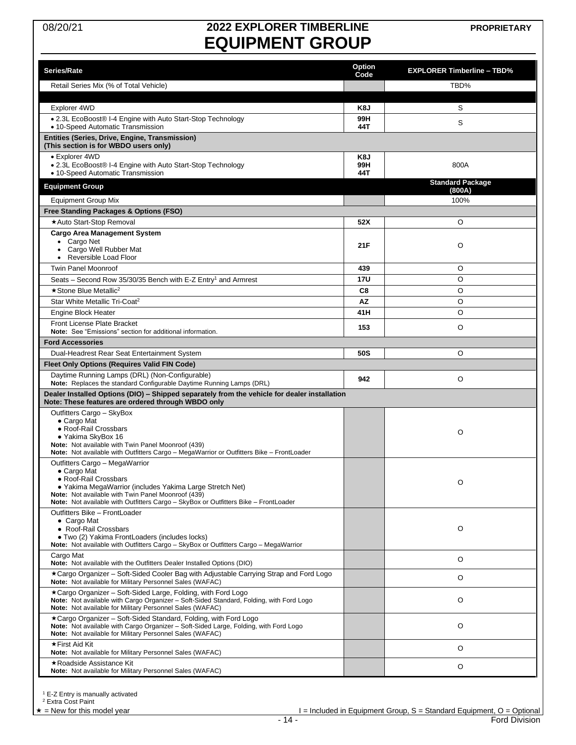# 08/20/21 **2022 EXPLORER TIMBERLINE EQUIPMENT GROUP**

**PROPRIETARY**

<span id="page-13-0"></span>

|                                                                                                                                                                                                                     | Option     |                                   |
|---------------------------------------------------------------------------------------------------------------------------------------------------------------------------------------------------------------------|------------|-----------------------------------|
| Series/Rate                                                                                                                                                                                                         | Code       | <b>EXPLORER Timberline - TBD%</b> |
| Retail Series Mix (% of Total Vehicle)                                                                                                                                                                              |            | TBD%                              |
|                                                                                                                                                                                                                     |            |                                   |
| Explorer 4WD                                                                                                                                                                                                        | K8J        | S                                 |
| • 2.3L EcoBoost® I-4 Engine with Auto Start-Stop Technology<br>• 10-Speed Automatic Transmission                                                                                                                    | 99H<br>44T | S                                 |
| Entities (Series, Drive, Engine, Transmission)<br>(This section is for WBDO users only)                                                                                                                             |            |                                   |
| • Explorer 4WD                                                                                                                                                                                                      | K8J        |                                   |
| • 2.3L EcoBoost® I-4 Engine with Auto Start-Stop Technology<br>• 10-Speed Automatic Transmission                                                                                                                    | 99H<br>44T | 800A                              |
| <b>Equipment Group</b>                                                                                                                                                                                              |            | <b>Standard Package</b><br>(800A) |
| <b>Equipment Group Mix</b>                                                                                                                                                                                          |            | 100%                              |
| Free Standing Packages & Options (FSO)                                                                                                                                                                              |            |                                   |
| ★Auto Start-Stop Removal                                                                                                                                                                                            | 52X        | O                                 |
| <b>Cargo Area Management System</b>                                                                                                                                                                                 |            |                                   |
| • Cargo Net                                                                                                                                                                                                         | 21F        | O                                 |
| Cargo Well Rubber Mat<br>$\bullet$<br>• Reversible Load Floor                                                                                                                                                       |            |                                   |
| <b>Twin Panel Moonroof</b>                                                                                                                                                                                          | 439        | O                                 |
| Seats – Second Row 35/30/35 Bench with E-Z Entry <sup>1</sup> and Armrest                                                                                                                                           | 17U        | O                                 |
| $\star$ Stone Blue Metallic <sup>2</sup>                                                                                                                                                                            | C8         | O                                 |
| Star White Metallic Tri-Coat <sup>2</sup>                                                                                                                                                                           | ΑZ         | O                                 |
| <b>Engine Block Heater</b>                                                                                                                                                                                          | 41H        | O                                 |
| <b>Front License Plate Bracket</b>                                                                                                                                                                                  |            | O                                 |
| Note: See "Emissions" section for additional information.                                                                                                                                                           | 153        |                                   |
| <b>Ford Accessories</b>                                                                                                                                                                                             |            |                                   |
| Dual-Headrest Rear Seat Entertainment System                                                                                                                                                                        | 50S        | O                                 |
| <b>Fleet Only Options (Requires Valid FIN Code)</b>                                                                                                                                                                 |            |                                   |
| Daytime Running Lamps (DRL) (Non-Configurable)<br>Note: Replaces the standard Configurable Daytime Running Lamps (DRL)                                                                                              | 942        | O                                 |
| Dealer Installed Options (DIO) - Shipped separately from the vehicle for dealer installation<br>Note: These features are ordered through WBDO only                                                                  |            |                                   |
| Outfitters Cargo - SkyBox                                                                                                                                                                                           |            |                                   |
| • Cargo Mat<br>• Roof-Rail Crossbars                                                                                                                                                                                |            |                                   |
| · Yakima SkyBox 16                                                                                                                                                                                                  |            | O                                 |
| Note: Not available with Twin Panel Moonroof (439)<br>Note: Not available with Outfitters Cargo - MegaWarrior or Outfitters Bike - FrontLoader                                                                      |            |                                   |
| Outfitters Cargo - MegaWarrior                                                                                                                                                                                      |            |                                   |
| • Cargo Mat<br>• Roof-Rail Crossbars                                                                                                                                                                                |            |                                   |
| • Yakima MegaWarrior (includes Yakima Large Stretch Net)                                                                                                                                                            |            | O                                 |
| Note: Not available with Twin Panel Moonroof (439)<br>Note: Not available with Outfitters Cargo - SkyBox or Outfitters Bike - FrontLoader                                                                           |            |                                   |
| Outfitters Bike - FrontLoader                                                                                                                                                                                       |            |                                   |
| $\bullet$ Cargo Mat<br>• Roof-Rail Crossbars                                                                                                                                                                        |            | O                                 |
| · Two (2) Yakima FrontLoaders (includes locks)                                                                                                                                                                      |            |                                   |
| Note: Not available with Outfitters Cargo - SkyBox or Outfitters Cargo - MegaWarrior                                                                                                                                |            |                                   |
| Cargo Mat<br>Note: Not available with the Outfitters Dealer Installed Options (DIO)                                                                                                                                 |            | O                                 |
| ★Cargo Organizer - Soft-Sided Cooler Bag with Adjustable Carrying Strap and Ford Logo<br>Note: Not available for Military Personnel Sales (WAFAC)                                                                   |            | O                                 |
| ★Cargo Organizer – Soft-Sided Large, Folding, with Ford Logo<br>Note: Not available with Cargo Organizer - Soft-Sided Standard, Folding, with Ford Logo<br>Note: Not available for Military Personnel Sales (WAFAC) |            | O                                 |
| *Cargo Organizer - Soft-Sided Standard, Folding, with Ford Logo<br>Note: Not available with Cargo Organizer - Soft-Sided Large, Folding, with Ford Logo<br>Note: Not available for Military Personnel Sales (WAFAC) |            | O                                 |
| ★First Aid Kit<br>Note: Not available for Military Personnel Sales (WAFAC)                                                                                                                                          |            | O                                 |
| ★Roadside Assistance Kit<br>Note: Not available for Military Personnel Sales (WAFAC)                                                                                                                                |            | O                                 |
|                                                                                                                                                                                                                     |            |                                   |

<sup>1</sup> E-Z Entry is manually activated<br><sup>2</sup> Extra Cost Paint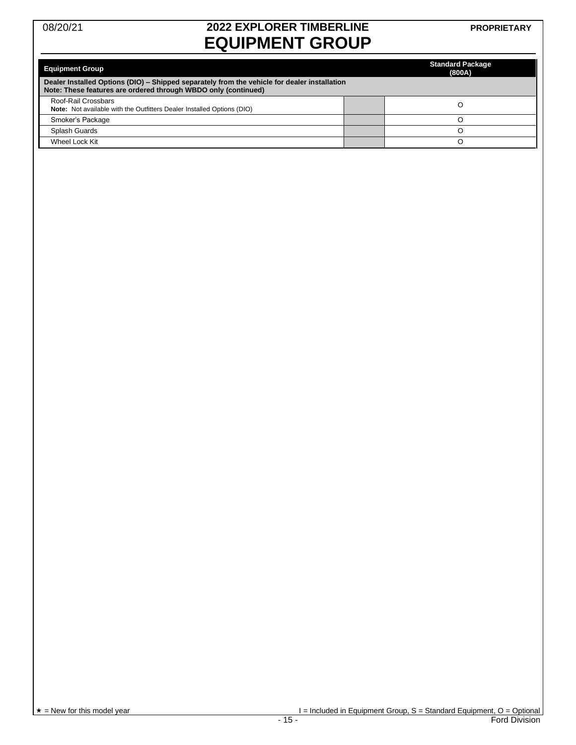# 08/20/21 **2022 EXPLORER TIMBERLINE EQUIPMENT GROUP**

| <b>Equipment Group</b><br>Dealer Installed Options (DIO) – Shipped separately from the vehicle for dealer installation<br>Note: These features are ordered through WBDO only (continued) | <b>Standard Package</b><br>(800A) |
|------------------------------------------------------------------------------------------------------------------------------------------------------------------------------------------|-----------------------------------|
| Roof-Rail Crossbars<br><b>Note:</b> Not available with the Outfitters Dealer Installed Options (DIO)                                                                                     |                                   |
| Smoker's Package                                                                                                                                                                         |                                   |
| Splash Guards                                                                                                                                                                            |                                   |
| Wheel Lock Kit                                                                                                                                                                           |                                   |

 $\star =$ New for this model year  $=$  15 -<br>Ford Division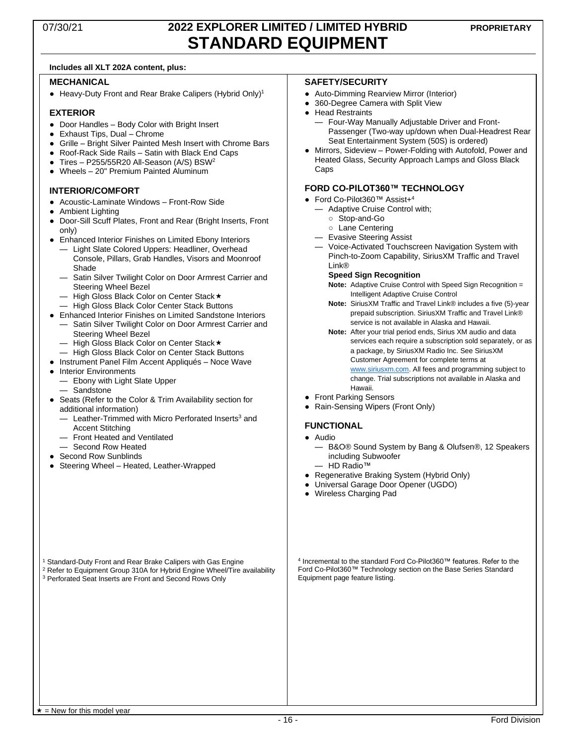## 07/30/21 **2022 EXPLORER LIMITED / LIMITED HYBRID STANDARD EQUIPMENT**

#### **Includes all XLT 202A content, plus:**

#### **MECHANICAL**

● Heavy-Duty Front and Rear Brake Calipers (Hybrid Only)<sup>1</sup>

#### **EXTERIOR**

- Door Handles Body Color with Bright Insert
- Exhaust Tips, Dual Chrome
- Grille Bright Silver Painted Mesh Insert with Chrome Bars
- Roof-Rack Side Rails Satin with Black End Caps
- $\bullet$  Tires P255/55R20 All-Season (A/S) BSW<sup>2</sup>
- Wheels 20" Premium Painted Aluminum

#### **INTERIOR/COMFORT**

- Acoustic-Laminate Windows Front-Row Side
- Ambient Lighting
- Door-Sill Scuff Plates, Front and Rear (Bright Inserts, Front only)
- Enhanced Interior Finishes on Limited Ebony Interiors
	- Light Slate Colored Uppers: Headliner, Overhead Console, Pillars, Grab Handles, Visors and Moonroof Shade
	- Satin Silver Twilight Color on Door Armrest Carrier and Steering Wheel Bezel
	- High Gloss Black Color on Center Stack
	- High Gloss Black Color Center Stack Buttons
- Enhanced Interior Finishes on Limited Sandstone Interiors
- Satin Silver Twilight Color on Door Armrest Carrier and Steering Wheel Bezel
	- High Gloss Black Color on Center Stack
- High Gloss Black Color on Center Stack Buttons
- Instrument Panel Film Accent Appliqués Noce Wave
- Interior Environments
	- Ebony with Light Slate Upper — Sandstone
- Seats (Refer to the Color & Trim Availability section for additional information)
	- Leather-Trimmed with Micro Perforated Inserts<sup>3</sup> and Accent Stitching
	- Front Heated and Ventilated
	- Second Row Heated
- Second Row Sunblinds
- Steering Wheel Heated, Leather-Wrapped

#### **SAFETY/SECURITY**

- Auto-Dimming Rearview Mirror (Interior)
- 360-Degree Camera with Split View
- Head Restraints
	- Four-Way Manually Adjustable Driver and Front-Passenger (Two-way up/down when Dual-Headrest Rear Seat Entertainment System (50S) is ordered)
- Mirrors, Sideview Power-Folding with Autofold, Power and Heated Glass, Security Approach Lamps and Gloss Black Caps

#### **FORD CO-PILOT360™ TECHNOLOGY**

- Ford Co-Pilot360™ Assist+ 4
	- Adaptive Cruise Control with;
		- Stop-and-Go
		- Lane Centering
	- Evasive Steering Assist
	- Voice-Activated Touchscreen Navigation System with Pinch-to-Zoom Capability, SiriusXM Traffic and Travel Link®
		- **Speed Sign Recognition**
		- **Note:** Adaptive Cruise Control with Speed Sign Recognition = Intelligent Adaptive Cruise Control
		- **Note:** SiriusXM Traffic and Travel Link® includes a five (5)-year prepaid subscription. SiriusXM Traffic and Travel Link® service is not available in Alaska and Hawaii.
		- **Note:** After your trial period ends, Sirius XM audio and data services each require a subscription sold separately, or as a package, by SiriusXM Radio Inc. See SiriusXM Customer Agreement for complete terms at [www.siriusxm.com.](http://www.siriusxm.com/) All fees and programming subject to change. Trial subscriptions not available in Alaska and Hawaii.
- Front Parking Sensors
- Rain-Sensing Wipers (Front Only)

#### **FUNCTIONAL**

- Audio
	- B&O® Sound System by Bang & Olufsen®, 12 Speakers including Subwoofer
	- HD Radio™
- Regenerative Braking System (Hybrid Only)
- Universal Garage Door Opener (UGDO)
- Wireless Charging Pad

<sup>1</sup> Standard-Duty Front and Rear Brake Calipers with Gas Engine

<sup>2</sup> Refer to Equipment Group 310A for Hybrid Engine Wheel/Tire availability <sup>3</sup> Perforated Seat Inserts are Front and Second Rows Only

4 Incremental to the standard Ford Co-Pilot360™ features. Refer to the Ford Co-Pilot360™ Technology section on the Base Series Standard Equipment page feature listing.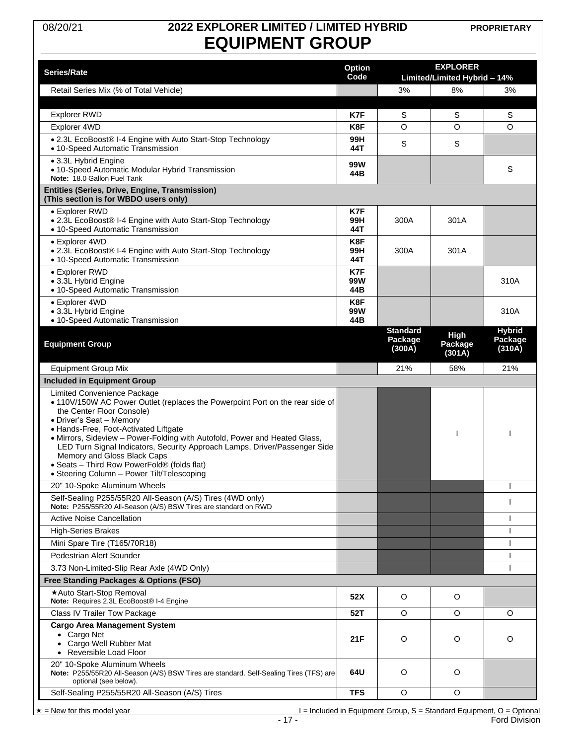# 08/20/21 **2022 EXPLORER LIMITED / LIMITED HYBRID EQUIPMENT GROUP**

**PROPRIETARY**

|                                                                                                                                                                                                                                                                                                                                                                                                                                                                                                        |                       |                                      | <b>EXPLORER</b>              |                                    |  |
|--------------------------------------------------------------------------------------------------------------------------------------------------------------------------------------------------------------------------------------------------------------------------------------------------------------------------------------------------------------------------------------------------------------------------------------------------------------------------------------------------------|-----------------------|--------------------------------------|------------------------------|------------------------------------|--|
| Series/Rate                                                                                                                                                                                                                                                                                                                                                                                                                                                                                            | <b>Option</b><br>Code |                                      | Limited/Limited Hybrid - 14% |                                    |  |
| Retail Series Mix (% of Total Vehicle)                                                                                                                                                                                                                                                                                                                                                                                                                                                                 |                       | 3%                                   | 8%                           | 3%                                 |  |
|                                                                                                                                                                                                                                                                                                                                                                                                                                                                                                        |                       |                                      |                              |                                    |  |
| <b>Explorer RWD</b>                                                                                                                                                                                                                                                                                                                                                                                                                                                                                    | K7F                   | S                                    | S                            | S                                  |  |
| Explorer 4WD                                                                                                                                                                                                                                                                                                                                                                                                                                                                                           | K8F                   | O                                    | O                            | O                                  |  |
| • 2.3L EcoBoost® I-4 Engine with Auto Start-Stop Technology<br>• 10-Speed Automatic Transmission                                                                                                                                                                                                                                                                                                                                                                                                       | 99H<br>44T            | S                                    | S                            |                                    |  |
| • 3.3L Hybrid Engine<br>• 10-Speed Automatic Modular Hybrid Transmission<br>Note: 18.0 Gallon Fuel Tank                                                                                                                                                                                                                                                                                                                                                                                                | 99W<br>44B            |                                      |                              | S                                  |  |
| Entities (Series, Drive, Engine, Transmission)<br>(This section is for WBDO users only)                                                                                                                                                                                                                                                                                                                                                                                                                |                       |                                      |                              |                                    |  |
| • Explorer RWD                                                                                                                                                                                                                                                                                                                                                                                                                                                                                         | K7F                   |                                      |                              |                                    |  |
| • 2.3L EcoBoost® I-4 Engine with Auto Start-Stop Technology<br>• 10-Speed Automatic Transmission                                                                                                                                                                                                                                                                                                                                                                                                       | 99H<br>44T            | 300A                                 | 301A                         |                                    |  |
| • Explorer 4WD<br>• 2.3L EcoBoost® I-4 Engine with Auto Start-Stop Technology<br>• 10-Speed Automatic Transmission                                                                                                                                                                                                                                                                                                                                                                                     | K8F<br>99H<br>44T     | 300A                                 | 301A                         |                                    |  |
| • Explorer RWD<br>• 3.3L Hybrid Engine<br>• 10-Speed Automatic Transmission                                                                                                                                                                                                                                                                                                                                                                                                                            | K7F<br>99W<br>44B     |                                      |                              | 310A                               |  |
| • Explorer 4WD<br>• 3.3L Hybrid Engine<br>• 10-Speed Automatic Transmission                                                                                                                                                                                                                                                                                                                                                                                                                            | K8F<br>99W<br>44B     |                                      |                              | 310A                               |  |
| <b>Equipment Group</b>                                                                                                                                                                                                                                                                                                                                                                                                                                                                                 |                       | <b>Standard</b><br>Package<br>(300A) | High<br>Package<br>(301A)    | <b>Hybrid</b><br>Package<br>(310A) |  |
| <b>Equipment Group Mix</b>                                                                                                                                                                                                                                                                                                                                                                                                                                                                             |                       | 21%                                  | 58%                          | 21%                                |  |
| <b>Included in Equipment Group</b>                                                                                                                                                                                                                                                                                                                                                                                                                                                                     |                       |                                      |                              |                                    |  |
| Limited Convenience Package<br>• 110V/150W AC Power Outlet (replaces the Powerpoint Port on the rear side of<br>the Center Floor Console)<br>• Driver's Seat - Memory<br>• Hands-Free, Foot-Activated Liftgate<br>• Mirrors, Sideview - Power-Folding with Autofold, Power and Heated Glass,<br>LED Turn Signal Indicators, Security Approach Lamps, Driver/Passenger Side<br>Memory and Gloss Black Caps<br>• Seats - Third Row PowerFold® (folds flat)<br>· Steering Column - Power Tilt/Telescoping |                       |                                      |                              |                                    |  |
| 20" 10-Spoke Aluminum Wheels                                                                                                                                                                                                                                                                                                                                                                                                                                                                           |                       |                                      |                              |                                    |  |
| Self-Sealing P255/55R20 All-Season (A/S) Tires (4WD only)<br>Note: P255/55R20 All-Season (A/S) BSW Tires are standard on RWD                                                                                                                                                                                                                                                                                                                                                                           |                       |                                      |                              | ı                                  |  |
| <b>Active Noise Cancellation</b>                                                                                                                                                                                                                                                                                                                                                                                                                                                                       |                       |                                      |                              | ı                                  |  |
| <b>High-Series Brakes</b>                                                                                                                                                                                                                                                                                                                                                                                                                                                                              |                       |                                      |                              | ı                                  |  |
| Mini Spare Tire (T165/70R18)                                                                                                                                                                                                                                                                                                                                                                                                                                                                           |                       |                                      |                              | $\mathbf{I}$                       |  |
| Pedestrian Alert Sounder                                                                                                                                                                                                                                                                                                                                                                                                                                                                               |                       |                                      |                              | ı                                  |  |
| 3.73 Non-Limited-Slip Rear Axle (4WD Only)<br>Free Standing Packages & Options (FSO)                                                                                                                                                                                                                                                                                                                                                                                                                   |                       |                                      |                              | $\mathbf{I}$                       |  |
| *Auto Start-Stop Removal                                                                                                                                                                                                                                                                                                                                                                                                                                                                               |                       |                                      |                              |                                    |  |
| Note: Requires 2.3L EcoBoost® I-4 Engine                                                                                                                                                                                                                                                                                                                                                                                                                                                               | 52X                   | O                                    | O                            |                                    |  |
| Class IV Trailer Tow Package                                                                                                                                                                                                                                                                                                                                                                                                                                                                           | 52T                   | O                                    | O                            | O                                  |  |
| <b>Cargo Area Management System</b><br>• Cargo Net<br>Cargo Well Rubber Mat<br>$\bullet$<br>Reversible Load Floor<br>$\bullet$                                                                                                                                                                                                                                                                                                                                                                         | 21 F                  | O                                    | O                            | O                                  |  |
| 20" 10-Spoke Aluminum Wheels<br>Note: P255/55R20 All-Season (A/S) BSW Tires are standard. Self-Sealing Tires (TFS) are<br>optional (see below).                                                                                                                                                                                                                                                                                                                                                        | 64U                   | O                                    | O                            |                                    |  |
| Self-Sealing P255/55R20 All-Season (A/S) Tires                                                                                                                                                                                                                                                                                                                                                                                                                                                         | <b>TFS</b>            | O                                    | O                            |                                    |  |

 $\begin{array}{c}\n \star = \text{New for this model year} \\
\hline\n \star = \text{New for this model year}\n \end{array}$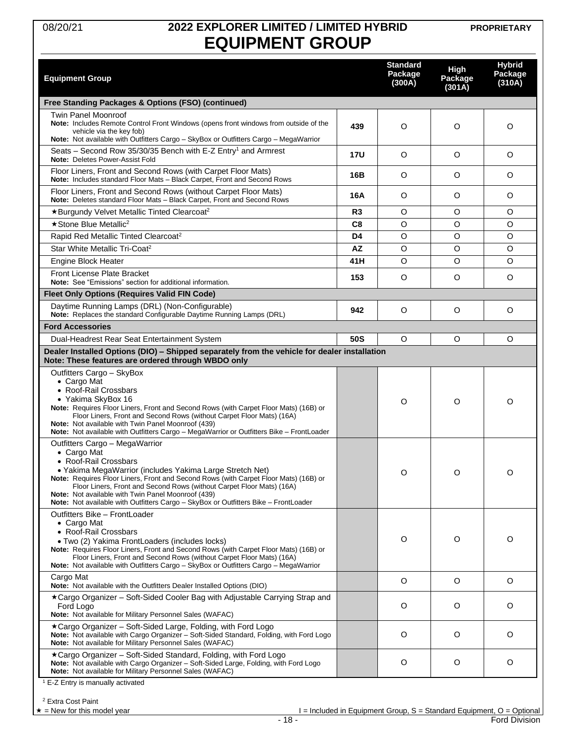### 08/20/21 **2022 EXPLORER LIMITED / LIMITED HYBRID EQUIPMENT GROUP**

**PROPRIETARY**

<span id="page-17-0"></span>

| <b>Equipment Group</b>                                                                                                                                                                                                                                                                                                                                                                                                                           |                | <b>Standard</b><br>Package<br>(300A) | High<br>Package<br>(301A) | <b>Hybrid</b><br>Package<br>(310A)                                                              |
|--------------------------------------------------------------------------------------------------------------------------------------------------------------------------------------------------------------------------------------------------------------------------------------------------------------------------------------------------------------------------------------------------------------------------------------------------|----------------|--------------------------------------|---------------------------|-------------------------------------------------------------------------------------------------|
| Free Standing Packages & Options (FSO) (continued)                                                                                                                                                                                                                                                                                                                                                                                               |                |                                      |                           |                                                                                                 |
| <b>Twin Panel Moonroof</b><br><b>Note:</b> Includes Remote Control Front Windows (opens front windows from outside of the<br>vehicle via the key fob)<br>Note: Not available with Outfitters Cargo - SkyBox or Outfitters Cargo - MegaWarrior                                                                                                                                                                                                    | 439            | O                                    | O                         | O                                                                                               |
| Seats - Second Row 35/30/35 Bench with E-Z Entry <sup>1</sup> and Armrest<br>Note: Deletes Power-Assist Fold                                                                                                                                                                                                                                                                                                                                     | <b>17U</b>     | O                                    | O                         | O                                                                                               |
| Floor Liners, Front and Second Rows (with Carpet Floor Mats)<br>Note: Includes standard Floor Mats - Black Carpet, Front and Second Rows                                                                                                                                                                                                                                                                                                         | 16B            | O                                    | O                         | O                                                                                               |
| Floor Liners, Front and Second Rows (without Carpet Floor Mats)<br>Note: Deletes standard Floor Mats - Black Carpet, Front and Second Rows                                                                                                                                                                                                                                                                                                       | 16A            | O                                    | O                         | O                                                                                               |
| *Burgundy Velvet Metallic Tinted Clearcoat <sup>2</sup>                                                                                                                                                                                                                                                                                                                                                                                          | R <sub>3</sub> | O                                    | O                         | O                                                                                               |
| ★ Stone Blue Metallic <sup>2</sup>                                                                                                                                                                                                                                                                                                                                                                                                               | C8             | O                                    | $\circ$                   | O                                                                                               |
| Rapid Red Metallic Tinted Clearcoat <sup>2</sup>                                                                                                                                                                                                                                                                                                                                                                                                 | D <sub>4</sub> | O                                    | $\circ$                   | O                                                                                               |
| Star White Metallic Tri-Coat <sup>2</sup>                                                                                                                                                                                                                                                                                                                                                                                                        | AZ             | O                                    | O                         | O                                                                                               |
| <b>Engine Block Heater</b>                                                                                                                                                                                                                                                                                                                                                                                                                       | 41H            | O                                    | O                         | O                                                                                               |
| Front License Plate Bracket<br>Note: See "Emissions" section for additional information.                                                                                                                                                                                                                                                                                                                                                         | 153            | O                                    | O                         | O                                                                                               |
| <b>Fleet Only Options (Requires Valid FIN Code)</b>                                                                                                                                                                                                                                                                                                                                                                                              |                |                                      |                           |                                                                                                 |
| Daytime Running Lamps (DRL) (Non-Configurable)<br>Note: Replaces the standard Configurable Daytime Running Lamps (DRL)                                                                                                                                                                                                                                                                                                                           | 942            | O                                    | O                         | O                                                                                               |
| <b>Ford Accessories</b>                                                                                                                                                                                                                                                                                                                                                                                                                          |                |                                      |                           |                                                                                                 |
| Dual-Headrest Rear Seat Entertainment System                                                                                                                                                                                                                                                                                                                                                                                                     | 50S            | $\circ$                              | O                         | O                                                                                               |
| Dealer Installed Options (DIO) - Shipped separately from the vehicle for dealer installation<br>Note: These features are ordered through WBDO only                                                                                                                                                                                                                                                                                               |                |                                      |                           |                                                                                                 |
| Outfitters Cargo - SkyBox<br>• Cargo Mat<br>• Roof-Rail Crossbars<br>• Yakima SkyBox 16<br><b>Note:</b> Requires Floor Liners, Front and Second Rows (with Carpet Floor Mats) (16B) or<br>Floor Liners, Front and Second Rows (without Carpet Floor Mats) (16A)<br>Note: Not available with Twin Panel Moonroof (439)<br>Note: Not available with Outfitters Cargo - MegaWarrior or Outfitters Bike - FrontLoader                                |                | O                                    | O                         | O                                                                                               |
| Outfitters Cargo - MegaWarrior<br>• Cargo Mat<br>• Roof-Rail Crossbars<br>• Yakima MegaWarrior (includes Yakima Large Stretch Net)<br>Note: Requires Floor Liners, Front and Second Rows (with Carpet Floor Mats) (16B) or<br>Floor Liners, Front and Second Rows (without Carpet Floor Mats) (16A)<br>Note: Not available with Twin Panel Moonroof (439)<br>Note: Not available with Outfitters Cargo - SkyBox or Outfitters Bike - FrontLoader |                | ∩                                    | $\Omega$                  | ∩                                                                                               |
| Outfitters Bike - FrontLoader<br>• Cargo Mat<br>• Roof-Rail Crossbars<br>· Two (2) Yakima FrontLoaders (includes locks)<br>Note: Requires Floor Liners, Front and Second Rows (with Carpet Floor Mats) (16B) or<br>Floor Liners, Front and Second Rows (without Carpet Floor Mats) (16A)<br>Note: Not available with Outfitters Cargo - SkyBox or Outfitters Cargo - MegaWarrior                                                                 |                | O                                    | O                         | O                                                                                               |
| Cargo Mat<br>Note: Not available with the Outfitters Dealer Installed Options (DIO)                                                                                                                                                                                                                                                                                                                                                              |                | O                                    | $\circ$                   | O                                                                                               |
| ★Cargo Organizer – Soft-Sided Cooler Bag with Adjustable Carrying Strap and<br>Ford Logo<br>Note: Not available for Military Personnel Sales (WAFAC)                                                                                                                                                                                                                                                                                             |                | O                                    | O                         | O                                                                                               |
| ★Cargo Organizer – Soft-Sided Large, Folding, with Ford Logo<br>Note: Not available with Cargo Organizer - Soft-Sided Standard, Folding, with Ford Logo<br>Note: Not available for Military Personnel Sales (WAFAC)                                                                                                                                                                                                                              |                | O                                    | O                         | O                                                                                               |
| *Cargo Organizer - Soft-Sided Standard, Folding, with Ford Logo<br>Note: Not available with Cargo Organizer - Soft-Sided Large, Folding, with Ford Logo<br>Note: Not available for Military Personnel Sales (WAFAC)                                                                                                                                                                                                                              |                | O                                    | O                         | O                                                                                               |
| E-Z Entry is manually activated<br><sup>2</sup> Extra Cost Paint<br>$\star$ = New for this model year<br>$-18-$                                                                                                                                                                                                                                                                                                                                  |                |                                      |                           | $I =$ Included in Equipment Group, S = Standard Equipment, O = Optional<br><b>Ford Division</b> |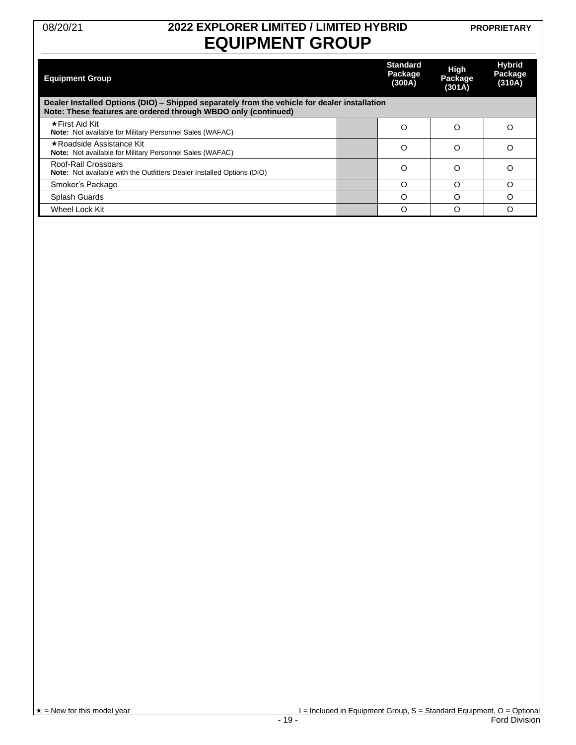### 08/20/21 **2022 EXPLORER LIMITED / LIMITED HYBRID EQUIPMENT GROUP**

**PROPRIETARY**

| <b>Equipment Group</b>                                                                                                                                         | <b>Standard</b><br>Package<br>(300A) | <b>High</b><br>Package<br>(301A) | <b>Hybrid</b><br>Package<br>(310A) |
|----------------------------------------------------------------------------------------------------------------------------------------------------------------|--------------------------------------|----------------------------------|------------------------------------|
| Dealer Installed Options (DIO) – Shipped separately from the vehicle for dealer installation<br>Note: These features are ordered through WBDO only (continued) |                                      |                                  |                                    |
| ★First Aid Kit<br>Note: Not available for Military Personnel Sales (WAFAC)                                                                                     | O                                    | O                                | Ω                                  |
| ★Roadside Assistance Kit<br>Note: Not available for Military Personnel Sales (WAFAC)                                                                           | O                                    | O                                | Ω                                  |
| Roof-Rail Crossbars<br><b>Note:</b> Not available with the Outfitters Dealer Installed Options (DIO)                                                           | Ω                                    | Ω                                | Ω                                  |
| Smoker's Package                                                                                                                                               | Ω                                    | ∩                                | ∩                                  |
| Splash Guards                                                                                                                                                  | Ω                                    | Ω                                |                                    |
| Wheel Lock Kit                                                                                                                                                 | O                                    | ∩                                | ∩                                  |

 $\begin{array}{c}\n \star = \text{New for this model year} \\
\hline\n \star = \text{New for this model year}\n \end{array}$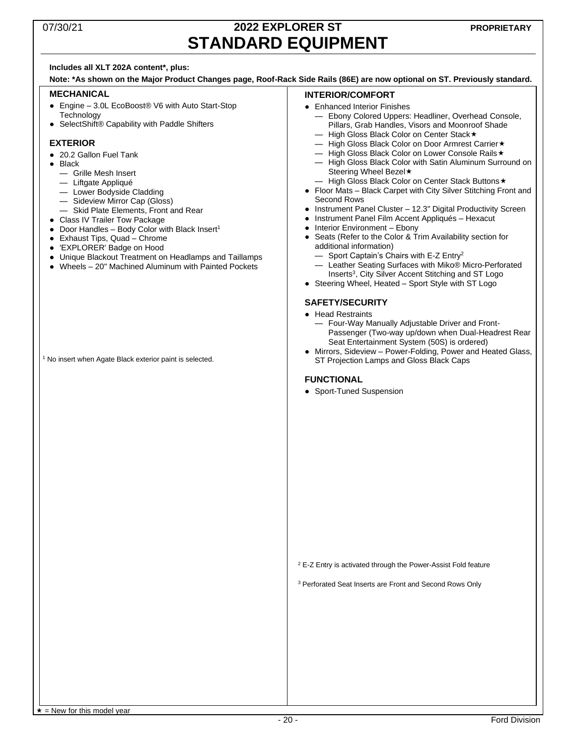### 07/30/21 **2022 EXPLORER ST STANDARD EQUIPMENT**

#### **Includes all XLT 202A content\*, plus:**

**Note: \*As shown on the Major Product Changes page, Roof-Rack Side Rails (86E) are now optional on ST. Previously standard.**

#### **MECHANICAL**

- Engine 3.0L EcoBoost<sup>®</sup> V6 with Auto Start-Stop **Technology**
- SelectShift® Capability with Paddle Shifters

#### **EXTERIOR**

- 20.2 Gallon Fuel Tank
- Black
	- Grille Mesh Insert
	- Liftgate Appliqué
	- Lower Bodyside Cladding
	- Sideview Mirror Cap (Gloss)
	- Skid Plate Elements, Front and Rear
- Class IV Trailer Tow Package
- $\bullet$  Door Handles Body Color with Black Insert<sup>1</sup>
- Exhaust Tips, Quad Chrome
- 'EXPLORER' Badge on Hood
- Unique Blackout Treatment on Headlamps and Taillamps
- Wheels 20" Machined Aluminum with Painted Pockets

<sup>1</sup> No insert when Agate Black exterior paint is selected.

#### **INTERIOR/COMFORT**

- Enhanced Interior Finishes
	- Ebony Colored Uppers: Headliner, Overhead Console, Pillars, Grab Handles, Visors and Moonroof Shade
	- High Gloss Black Color on Center Stack
	- High Gloss Black Color on Door Armrest Carrier — High Gloss Black Color on Lower Console Rails
	- High Gloss Black Color with Satin Aluminum Surround on
	- Steering Wheel Bezel **\***
	- High Gloss Black Color on Center Stack Buttons
- Floor Mats Black Carpet with City Silver Stitching Front and Second Rows
- Instrument Panel Cluster 12.3" Digital Productivity Screen
- Instrument Panel Film Accent Appliqués Hexacut
- Interior Environment Ebony
- Seats (Refer to the Color & Trim Availability section for additional information)
	- $-$  Sport Captain's Chairs with E-Z Entry<sup>2</sup>
	- Leather Seating Surfaces with Miko® Micro-Perforated Inserts<sup>3</sup>, City Silver Accent Stitching and ST Logo
- Steering Wheel, Heated Sport Style with ST Logo

#### **SAFETY/SECURITY**

- Head Restraints
	- Four-Way Manually Adjustable Driver and Front-Passenger (Two-way up/down when Dual-Headrest Rear Seat Entertainment System (50S) is ordered)
- Mirrors, Sideview Power-Folding, Power and Heated Glass, ST Projection Lamps and Gloss Black Caps

#### **FUNCTIONAL**

• Sport-Tuned Suspension

<sup>2</sup> E-Z Entry is activated through the Power-Assist Fold feature

<sup>3</sup> Perforated Seat Inserts are Front and Second Rows Only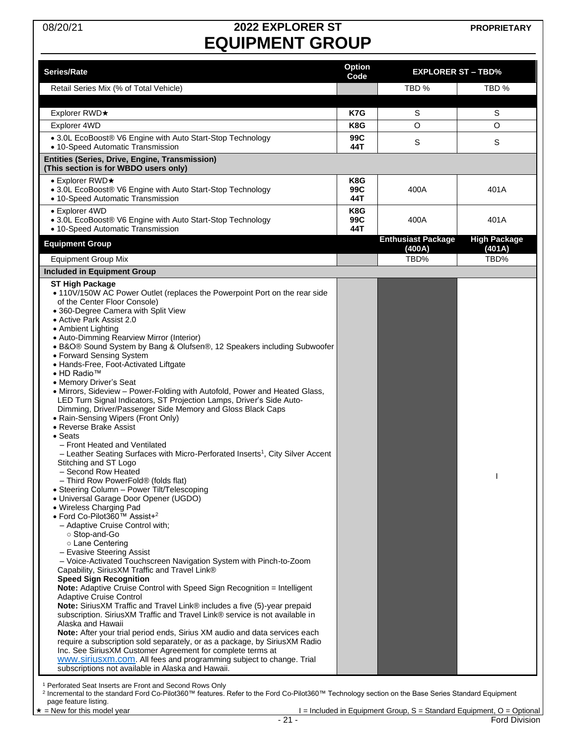# 08/20/21 **2022 EXPLORER ST EQUIPMENT GROUP**

**PROPRIETARY**

| Series/Rate                                                                                                                                                                                                                                                                                                                                                                                                                                                                                                                                                                                                                                                                                                                                                                                                                                                                                                                                                                                                                                                                                                                                                                                                                                                                                                                                                                                                                                                                                                                                                                                                                                                                                                                                                                                                                                                                                                                                                                                                                                                                   | <b>Option</b><br>Code | <b>EXPLORER ST - TBD%</b>           |                               |
|-------------------------------------------------------------------------------------------------------------------------------------------------------------------------------------------------------------------------------------------------------------------------------------------------------------------------------------------------------------------------------------------------------------------------------------------------------------------------------------------------------------------------------------------------------------------------------------------------------------------------------------------------------------------------------------------------------------------------------------------------------------------------------------------------------------------------------------------------------------------------------------------------------------------------------------------------------------------------------------------------------------------------------------------------------------------------------------------------------------------------------------------------------------------------------------------------------------------------------------------------------------------------------------------------------------------------------------------------------------------------------------------------------------------------------------------------------------------------------------------------------------------------------------------------------------------------------------------------------------------------------------------------------------------------------------------------------------------------------------------------------------------------------------------------------------------------------------------------------------------------------------------------------------------------------------------------------------------------------------------------------------------------------------------------------------------------------|-----------------------|-------------------------------------|-------------------------------|
| Retail Series Mix (% of Total Vehicle)                                                                                                                                                                                                                                                                                                                                                                                                                                                                                                                                                                                                                                                                                                                                                                                                                                                                                                                                                                                                                                                                                                                                                                                                                                                                                                                                                                                                                                                                                                                                                                                                                                                                                                                                                                                                                                                                                                                                                                                                                                        |                       | TBD %                               | TBD %                         |
| Explorer RWD★                                                                                                                                                                                                                                                                                                                                                                                                                                                                                                                                                                                                                                                                                                                                                                                                                                                                                                                                                                                                                                                                                                                                                                                                                                                                                                                                                                                                                                                                                                                                                                                                                                                                                                                                                                                                                                                                                                                                                                                                                                                                 | K7G                   | S                                   | S                             |
| Explorer 4WD                                                                                                                                                                                                                                                                                                                                                                                                                                                                                                                                                                                                                                                                                                                                                                                                                                                                                                                                                                                                                                                                                                                                                                                                                                                                                                                                                                                                                                                                                                                                                                                                                                                                                                                                                                                                                                                                                                                                                                                                                                                                  | K8G                   | O                                   | O                             |
| • 3.0L EcoBoost® V6 Engine with Auto Start-Stop Technology<br>• 10-Speed Automatic Transmission                                                                                                                                                                                                                                                                                                                                                                                                                                                                                                                                                                                                                                                                                                                                                                                                                                                                                                                                                                                                                                                                                                                                                                                                                                                                                                                                                                                                                                                                                                                                                                                                                                                                                                                                                                                                                                                                                                                                                                               | 99C<br>44T            | S                                   | S                             |
| Entities (Series, Drive, Engine, Transmission)<br>(This section is for WBDO users only)                                                                                                                                                                                                                                                                                                                                                                                                                                                                                                                                                                                                                                                                                                                                                                                                                                                                                                                                                                                                                                                                                                                                                                                                                                                                                                                                                                                                                                                                                                                                                                                                                                                                                                                                                                                                                                                                                                                                                                                       |                       |                                     |                               |
| $\bullet$ Explorer RWD $\star$                                                                                                                                                                                                                                                                                                                                                                                                                                                                                                                                                                                                                                                                                                                                                                                                                                                                                                                                                                                                                                                                                                                                                                                                                                                                                                                                                                                                                                                                                                                                                                                                                                                                                                                                                                                                                                                                                                                                                                                                                                                | K8G                   |                                     |                               |
| • 3.0L EcoBoost® V6 Engine with Auto Start-Stop Technology<br>• 10-Speed Automatic Transmission                                                                                                                                                                                                                                                                                                                                                                                                                                                                                                                                                                                                                                                                                                                                                                                                                                                                                                                                                                                                                                                                                                                                                                                                                                                                                                                                                                                                                                                                                                                                                                                                                                                                                                                                                                                                                                                                                                                                                                               | 99C<br>44T            | 400A                                | 401 A                         |
| • Explorer 4WD                                                                                                                                                                                                                                                                                                                                                                                                                                                                                                                                                                                                                                                                                                                                                                                                                                                                                                                                                                                                                                                                                                                                                                                                                                                                                                                                                                                                                                                                                                                                                                                                                                                                                                                                                                                                                                                                                                                                                                                                                                                                | K8G                   |                                     |                               |
| • 3.0L EcoBoost® V6 Engine with Auto Start-Stop Technology<br>• 10-Speed Automatic Transmission                                                                                                                                                                                                                                                                                                                                                                                                                                                                                                                                                                                                                                                                                                                                                                                                                                                                                                                                                                                                                                                                                                                                                                                                                                                                                                                                                                                                                                                                                                                                                                                                                                                                                                                                                                                                                                                                                                                                                                               | 99C<br>44T            | 400A                                | 401 A                         |
| <b>Equipment Group</b>                                                                                                                                                                                                                                                                                                                                                                                                                                                                                                                                                                                                                                                                                                                                                                                                                                                                                                                                                                                                                                                                                                                                                                                                                                                                                                                                                                                                                                                                                                                                                                                                                                                                                                                                                                                                                                                                                                                                                                                                                                                        |                       | <b>Enthusiast Package</b><br>(400A) | <b>High Package</b><br>(401A) |
| <b>Equipment Group Mix</b>                                                                                                                                                                                                                                                                                                                                                                                                                                                                                                                                                                                                                                                                                                                                                                                                                                                                                                                                                                                                                                                                                                                                                                                                                                                                                                                                                                                                                                                                                                                                                                                                                                                                                                                                                                                                                                                                                                                                                                                                                                                    |                       | TBD%                                | TBD%                          |
| <b>Included in Equipment Group</b>                                                                                                                                                                                                                                                                                                                                                                                                                                                                                                                                                                                                                                                                                                                                                                                                                                                                                                                                                                                                                                                                                                                                                                                                                                                                                                                                                                                                                                                                                                                                                                                                                                                                                                                                                                                                                                                                                                                                                                                                                                            |                       |                                     |                               |
| <b>ST High Package</b><br>• 110V/150W AC Power Outlet (replaces the Powerpoint Port on the rear side<br>of the Center Floor Console)<br>• 360-Degree Camera with Split View<br>• Active Park Assist 2.0<br>• Ambient Lighting<br>• Auto-Dimming Rearview Mirror (Interior)<br>• B&O® Sound System by Bang & Olufsen®, 12 Speakers including Subwoofer<br>• Forward Sensing System<br>• Hands-Free, Foot-Activated Liftgate<br>• HD Radio™<br>• Memory Driver's Seat<br>• Mirrors, Sideview - Power-Folding with Autofold, Power and Heated Glass,<br>LED Turn Signal Indicators, ST Projection Lamps, Driver's Side Auto-<br>Dimming, Driver/Passenger Side Memory and Gloss Black Caps<br>• Rain-Sensing Wipers (Front Only)<br>• Reverse Brake Assist<br>• Seats<br>- Front Heated and Ventilated<br>- Leather Seating Surfaces with Micro-Perforated Inserts <sup>1</sup> , City Silver Accent<br>Stitching and ST Logo<br>- Second Row Heated<br>- Third Row PowerFold® (folds flat)<br>• Steering Column - Power Tilt/Telescoping<br>• Universal Garage Door Opener (UGDO)<br>• Wireless Charging Pad<br>. Ford Co-Pilot360™ Assist+ <sup>2</sup><br>- Adaptive Cruise Control with;<br>○ Stop-and-Go<br>o Lane Centering<br>- Evasive Steering Assist<br>- Voice-Activated Touchscreen Navigation System with Pinch-to-Zoom<br>Capability, SiriusXM Traffic and Travel Link®<br><b>Speed Sign Recognition</b><br>Note: Adaptive Cruise Control with Speed Sign Recognition = Intelligent<br><b>Adaptive Cruise Control</b><br><b>Note:</b> SiriusXM Traffic and Travel Link® includes a five (5)-year prepaid<br>subscription. SiriusXM Traffic and Travel Link® service is not available in<br>Alaska and Hawaii<br>Note: After your trial period ends, Sirius XM audio and data services each<br>require a subscription sold separately, or as a package, by SiriusXM Radio<br>Inc. See SiriusXM Customer Agreement for complete terms at<br>www.siriusxm.com. All fees and programming subject to change. Trial<br>subscriptions not available in Alaska and Hawaii. |                       |                                     |                               |

<sup>1</sup> Perforated Seat Inserts are Front and Second Rows Only<br><sup>2</sup> Incremental to the standard Ford Co-Pilot360™ features. Refer to the Ford Co-Pilot360™ Technology section on the Base Series Standard Equipment page feature listing.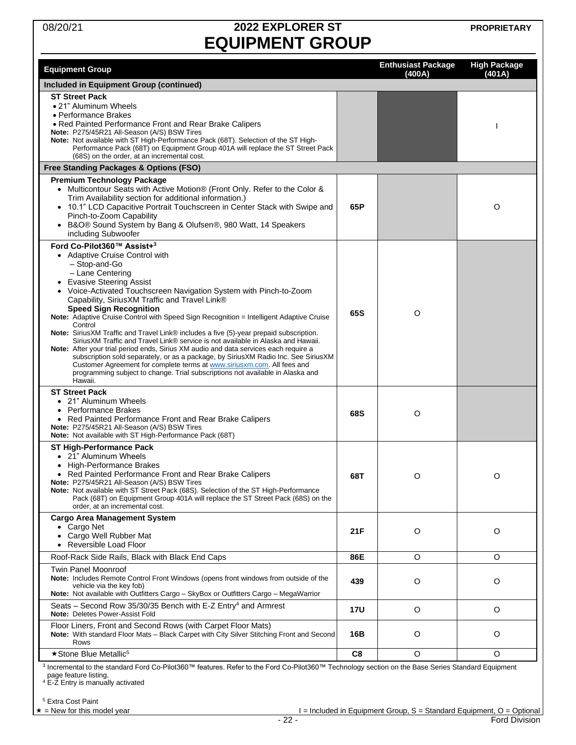# 08/20/21 **2022 EXPLORER ST EQUIPMENT GROUP**

**PROPRIETARY**

|                                                                                                                                                                                                                                                                                                                                                                                                                                                                                                                                                                                                                                                                                                                                                                                                                                                                                                                                                   |            | <b>Enthusiast Package</b> | <b>High Package</b> |
|---------------------------------------------------------------------------------------------------------------------------------------------------------------------------------------------------------------------------------------------------------------------------------------------------------------------------------------------------------------------------------------------------------------------------------------------------------------------------------------------------------------------------------------------------------------------------------------------------------------------------------------------------------------------------------------------------------------------------------------------------------------------------------------------------------------------------------------------------------------------------------------------------------------------------------------------------|------------|---------------------------|---------------------|
| <b>Equipment Group</b>                                                                                                                                                                                                                                                                                                                                                                                                                                                                                                                                                                                                                                                                                                                                                                                                                                                                                                                            |            | (400A)                    | (401A)              |
| Included in Equipment Group (continued)                                                                                                                                                                                                                                                                                                                                                                                                                                                                                                                                                                                                                                                                                                                                                                                                                                                                                                           |            |                           |                     |
| <b>ST Street Pack</b><br>• 21" Aluminum Wheels<br>• Performance Brakes<br>. Red Painted Performance Front and Rear Brake Calipers<br>Note: P275/45R21 All-Season (A/S) BSW Tires<br>Note: Not available with ST High-Performance Pack (68T). Selection of the ST High-<br>Performance Pack (68T) on Equipment Group 401A will replace the ST Street Pack<br>(68S) on the order, at an incremental cost.                                                                                                                                                                                                                                                                                                                                                                                                                                                                                                                                           |            |                           |                     |
| Free Standing Packages & Options (FSO)                                                                                                                                                                                                                                                                                                                                                                                                                                                                                                                                                                                                                                                                                                                                                                                                                                                                                                            |            |                           |                     |
| <b>Premium Technology Package</b><br>• Multicontour Seats with Active Motion® (Front Only. Refer to the Color &<br>Trim Availability section for additional information.)<br>10.1" LCD Capacitive Portrait Touchscreen in Center Stack with Swipe and<br>Pinch-to-Zoom Capability<br>• B&O® Sound System by Bang & Olufsen®, 980 Watt, 14 Speakers<br>including Subwoofer                                                                                                                                                                                                                                                                                                                                                                                                                                                                                                                                                                         | 65P        |                           | O                   |
| Ford Co-Pilot360™ Assist+3<br>• Adaptive Cruise Control with<br>- Stop-and-Go<br>- Lane Centering<br><b>Evasive Steering Assist</b><br>Voice-Activated Touchscreen Navigation System with Pinch-to-Zoom<br>$\bullet$<br>Capability, Sirius XM Traffic and Travel Link®<br><b>Speed Sign Recognition</b><br>Note: Adaptive Cruise Control with Speed Sign Recognition = Intelligent Adaptive Cruise<br>Control<br>Note: SiriusXM Traffic and Travel Link® includes a five (5)-year prepaid subscription.<br>SiriusXM Traffic and Travel Link® service is not available in Alaska and Hawaii.<br>Note: After your trial period ends, Sirius XM audio and data services each require a<br>subscription sold separately, or as a package, by SiriusXM Radio Inc. See SiriusXM<br>Customer Agreement for complete terms at www.siriusxm.com. All fees and<br>programming subject to change. Trial subscriptions not available in Alaska and<br>Hawaii. | 65S        | O                         |                     |
| <b>ST Street Pack</b><br>• 21" Aluminum Wheels<br><b>Performance Brakes</b><br>٠<br>• Red Painted Performance Front and Rear Brake Calipers<br>Note: P275/45R21 All-Season (A/S) BSW Tires<br>Note: Not available with ST High-Performance Pack (68T)                                                                                                                                                                                                                                                                                                                                                                                                                                                                                                                                                                                                                                                                                             | 68S        | O                         |                     |
| ST High-Performance Pack<br>21" Aluminum Wheels<br>• High-Performance Brakes<br>• Red Painted Performance Front and Rear Brake Calipers<br>Note: P275/45R21 All-Season (A/S) BSW Tires<br>Note: Not available with ST Street Pack (68S). Selection of the ST High-Performance<br>Pack (68T) on Equipment Group 401A will replace the ST Street Pack (68S) on the<br>order, at an incremental cost.                                                                                                                                                                                                                                                                                                                                                                                                                                                                                                                                                | 68T        | O                         | O                   |
| <b>Cargo Area Management System</b><br>• Cargo Net<br>Cargo Well Rubber Mat<br>$\bullet$<br>Reversible Load Floor<br>$\bullet$                                                                                                                                                                                                                                                                                                                                                                                                                                                                                                                                                                                                                                                                                                                                                                                                                    | 21F        | O                         | O                   |
| Roof-Rack Side Rails, Black with Black End Caps                                                                                                                                                                                                                                                                                                                                                                                                                                                                                                                                                                                                                                                                                                                                                                                                                                                                                                   | 86E        | $\circ$                   | $\circ$             |
| <b>Twin Panel Moonroof</b><br>Note: Includes Remote Control Front Windows (opens front windows from outside of the<br>vehicle via the key fob)<br>Note: Not available with Outfitters Cargo - SkyBox or Outfitters Cargo - MegaWarrior                                                                                                                                                                                                                                                                                                                                                                                                                                                                                                                                                                                                                                                                                                            | 439        | O                         | O                   |
| Seats – Second Row 35/30/35 Bench with E-Z Entry <sup>4</sup> and Armrest<br>Note: Deletes Power-Assist Fold                                                                                                                                                                                                                                                                                                                                                                                                                                                                                                                                                                                                                                                                                                                                                                                                                                      | <b>17U</b> | $\circ$                   | O                   |
| Floor Liners, Front and Second Rows (with Carpet Floor Mats)<br>Note: With standard Floor Mats - Black Carpet with City Silver Stitching Front and Second<br>Rows                                                                                                                                                                                                                                                                                                                                                                                                                                                                                                                                                                                                                                                                                                                                                                                 | 16B        | O                         | O                   |
| ★ Stone Blue Metallic <sup>5</sup><br>3 Incremental to the standard Ford Co-Pilot360™ features. Refer to the Ford Co-Pilot360™ Technology section on the Base Series Standard Equipment                                                                                                                                                                                                                                                                                                                                                                                                                                                                                                                                                                                                                                                                                                                                                           | C8         | O                         | O                   |

<span id="page-21-0"></span>page feature listing. <sup>4</sup> E-Z Entry is manually activated

<sup>5</sup> Extra Cost Paint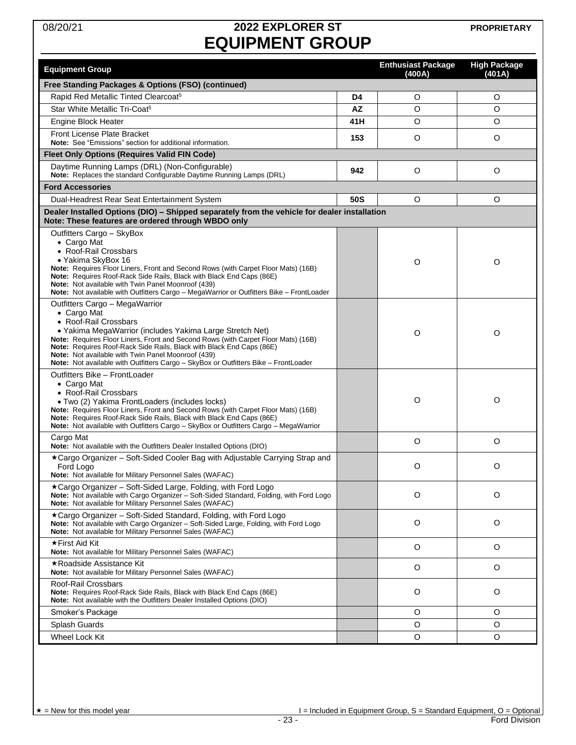# 08/20/21 **2022 EXPLORER ST EQUIPMENT GROUP**

| <b>Equipment Group</b>                                                                                                                                                                                                                                                                                                                                                                                                                                     |           | <b>Enthusiast Package</b><br>(400A) | <b>High Package</b><br>(401A) |
|------------------------------------------------------------------------------------------------------------------------------------------------------------------------------------------------------------------------------------------------------------------------------------------------------------------------------------------------------------------------------------------------------------------------------------------------------------|-----------|-------------------------------------|-------------------------------|
| Free Standing Packages & Options (FSO) (continued)                                                                                                                                                                                                                                                                                                                                                                                                         |           |                                     |                               |
| Rapid Red Metallic Tinted Clearcoat <sup>5</sup>                                                                                                                                                                                                                                                                                                                                                                                                           | D4        | O                                   | O                             |
| Star White Metallic Tri-Coat <sup>5</sup>                                                                                                                                                                                                                                                                                                                                                                                                                  | <b>AZ</b> | $\circ$                             | O                             |
| Engine Block Heater                                                                                                                                                                                                                                                                                                                                                                                                                                        | 41H       | O                                   | O                             |
| Front License Plate Bracket<br>Note: See "Emissions" section for additional information.                                                                                                                                                                                                                                                                                                                                                                   | 153       | O                                   | O                             |
| <b>Fleet Only Options (Requires Valid FIN Code)</b>                                                                                                                                                                                                                                                                                                                                                                                                        |           |                                     |                               |
| Daytime Running Lamps (DRL) (Non-Configurable)<br>Note: Replaces the standard Configurable Daytime Running Lamps (DRL)                                                                                                                                                                                                                                                                                                                                     | 942       | $\circ$                             | O                             |
| <b>Ford Accessories</b>                                                                                                                                                                                                                                                                                                                                                                                                                                    |           |                                     |                               |
| Dual-Headrest Rear Seat Entertainment System                                                                                                                                                                                                                                                                                                                                                                                                               | 50S       | O                                   | O                             |
| Dealer Installed Options (DIO) - Shipped separately from the vehicle for dealer installation                                                                                                                                                                                                                                                                                                                                                               |           |                                     |                               |
| Note: These features are ordered through WBDO only                                                                                                                                                                                                                                                                                                                                                                                                         |           |                                     |                               |
| Outfitters Cargo - SkyBox<br>• Cargo Mat<br>• Roof-Rail Crossbars<br>• Yakima SkyBox 16<br><b>Note:</b> Requires Floor Liners, Front and Second Rows (with Carpet Floor Mats) (16B)<br>Note: Requires Roof-Rack Side Rails, Black with Black End Caps (86E)<br><b>Note:</b> Not available with Twin Panel Moonroof (439)<br>Note: Not available with Outfitters Cargo - MegaWarrior or Outfitters Bike - FrontLoader                                       |           | O                                   | $\circ$                       |
| Outfitters Cargo - MegaWarrior<br>• Cargo Mat<br>• Roof-Rail Crossbars<br>• Yakima MegaWarrior (includes Yakima Large Stretch Net)<br><b>Note:</b> Requires Floor Liners, Front and Second Rows (with Carpet Floor Mats) (16B)<br>Note: Requires Roof-Rack Side Rails, Black with Black End Caps (86E)<br><b>Note:</b> Not available with Twin Panel Moonroof (439)<br>Note: Not available with Outfitters Cargo - SkyBox or Outfitters Bike - FrontLoader |           | O                                   | O                             |
| Outfitters Bike - FrontLoader<br>• Cargo Mat<br>• Roof-Rail Crossbars<br>• Two (2) Yakima FrontLoaders (includes locks)<br>Note: Requires Floor Liners, Front and Second Rows (with Carpet Floor Mats) (16B)<br>Note: Requires Roof-Rack Side Rails, Black with Black End Caps (86E)<br>Note: Not available with Outfitters Cargo - SkyBox or Outfitters Cargo - MegaWarrior                                                                               |           | O                                   | O                             |
| Cargo Mat<br><b>Note:</b> Not available with the Outfitters Dealer Installed Options (DIO)                                                                                                                                                                                                                                                                                                                                                                 |           | O                                   | O                             |
| *Cargo Organizer - Soft-Sided Cooler Bag with Adjustable Carrying Strap and<br>Ford Logo<br>Note: Not available for Military Personnel Sales (WAFAC)                                                                                                                                                                                                                                                                                                       |           | O                                   | $\circ$                       |
| $\star$ Cargo Organizer – Soft-Sided Large, Folding, with Ford Logo<br>Note: Not available with Cargo Organizer - Soft-Sided Standard, Folding, with Ford Logo<br>Note: Not available for Military Personnel Sales (WAFAC)                                                                                                                                                                                                                                 |           | $\circ$                             | O                             |
| ★Cargo Organizer – Soft-Sided Standard, Folding, with Ford Logo<br>Note: Not available with Cargo Organizer - Soft-Sided Large, Folding, with Ford Logo<br>Note: Not available for Military Personnel Sales (WAFAC)                                                                                                                                                                                                                                        |           | $\circ$                             | O                             |
| ★First Aid Kit<br>Note: Not available for Military Personnel Sales (WAFAC)                                                                                                                                                                                                                                                                                                                                                                                 |           | O                                   | $\circ$                       |
| ★Roadside Assistance Kit<br>Note: Not available for Military Personnel Sales (WAFAC)                                                                                                                                                                                                                                                                                                                                                                       |           | O                                   | O                             |
| Roof-Rail Crossbars<br>Note: Requires Roof-Rack Side Rails, Black with Black End Caps (86E)<br>Note: Not available with the Outfitters Dealer Installed Options (DIO)                                                                                                                                                                                                                                                                                      |           | O                                   | O                             |
| Smoker's Package                                                                                                                                                                                                                                                                                                                                                                                                                                           |           | O                                   | O                             |
| Splash Guards                                                                                                                                                                                                                                                                                                                                                                                                                                              |           | $\circ$                             | O                             |
| Wheel Lock Kit                                                                                                                                                                                                                                                                                                                                                                                                                                             |           | $\circ$                             | O                             |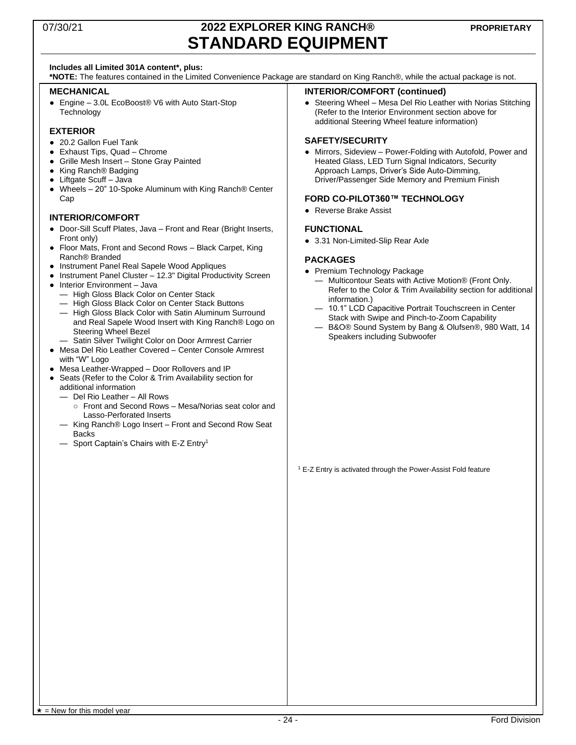### 07/30/21 **2022 EXPLORER KING RANCH® STANDARD EQUIPMENT**

#### **Includes all Limited 301A content\*, plus:**

**\*NOTE:** The features contained in the Limited Convenience Package are standard on King Ranch®, while the actual package is not.

#### **MECHANICAL**

● Engine - 3.0L EcoBoost® V6 with Auto Start-Stop **Technology** 

#### **EXTERIOR**

- 20.2 Gallon Fuel Tank
- Exhaust Tips, Quad Chrome
- Grille Mesh Insert Stone Gray Painted
- King Ranch® Badging
- Liftgate Scuff Java
- Wheels 20" 10-Spoke Aluminum with King Ranch® Center Cap

#### **INTERIOR/COMFORT**

- Door-Sill Scuff Plates, Java Front and Rear (Bright Inserts, Front only)
- Floor Mats, Front and Second Rows Black Carpet, King Ranch® Branded
- Instrument Panel Real Sapele Wood Appliques
- Instrument Panel Cluster 12.3" Digital Productivity Screen ● Interior Environment – Java
- High Gloss Black Color on Center Stack
	- High Gloss Black Color on Center Stack Buttons
	- High Gloss Black Color with Satin Aluminum Surround and Real Sapele Wood Insert with King Ranch® Logo on Steering Wheel Bezel
- Satin Silver Twilight Color on Door Armrest Carrier ● Mesa Del Rio Leather Covered – Center Console Armrest
- with "W" Logo ● Mesa Leather-Wrapped – Door Rollovers and IP
- Seats (Refer to the Color & Trim Availability section for additional information
	- Del Rio Leather All Rows
		- Front and Second Rows Mesa/Norias seat color and Lasso-Perforated Inserts
	- King Ranch® Logo Insert Front and Second Row Seat **Backs**
	- Sport Captain's Chairs with E-Z Entry<sup>1</sup>

#### **INTERIOR/COMFORT (continued)**

● Steering Wheel – Mesa Del Rio Leather with Norias Stitching (Refer to the Interior Environment section above for additional Steering Wheel feature information)

#### **SAFETY/SECURITY**

● Mirrors, Sideview – Power-Folding with Autofold, Power and Heated Glass, LED Turn Signal Indicators, Security Approach Lamps, Driver's Side Auto-Dimming, Driver/Passenger Side Memory and Premium Finish

#### **FORD CO-PILOT360™ TECHNOLOGY**

● Reverse Brake Assist

#### **FUNCTIONAL**

● 3.31 Non-Limited-Slip Rear Axle

#### **PACKAGES**

- Premium Technology Package
	- Multicontour Seats with Active Motion® (Front Only. Refer to the Color & Trim Availability section for additional information.)
	- 10.1" LCD Capacitive Portrait Touchscreen in Center Stack with Swipe and Pinch-to-Zoom Capability
	- B&O® Sound System by Bang & Olufsen®, 980 Watt, 14 Speakers including Subwoofer

<sup>1</sup> E-Z Entry is activated through the Power-Assist Fold feature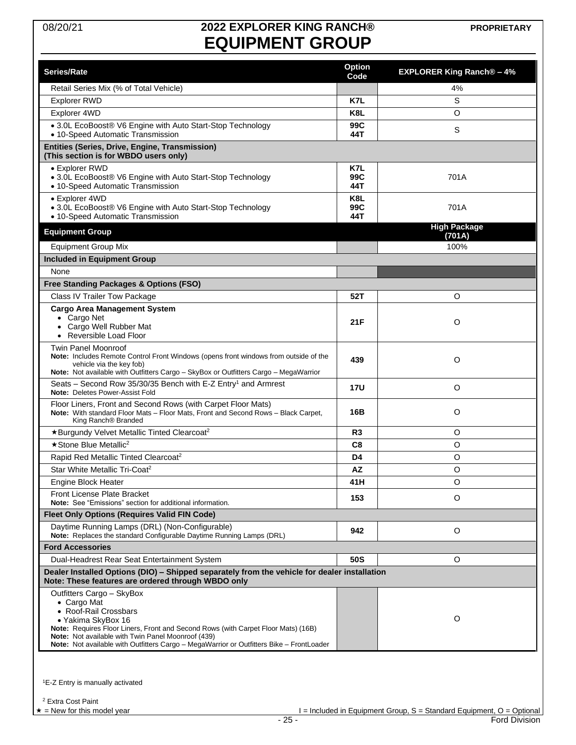# 08/20/21 **2022 EXPLORER KING RANCH® EQUIPMENT GROUP**

|                                                                                                                                                                                                                                                                                                                                | <b>Option</b>     |                                |
|--------------------------------------------------------------------------------------------------------------------------------------------------------------------------------------------------------------------------------------------------------------------------------------------------------------------------------|-------------------|--------------------------------|
| Series/Rate                                                                                                                                                                                                                                                                                                                    | Code              | <b>EXPLORER King Ranch®-4%</b> |
| Retail Series Mix (% of Total Vehicle)                                                                                                                                                                                                                                                                                         |                   | 4%                             |
| <b>Explorer RWD</b>                                                                                                                                                                                                                                                                                                            | K7L               | S                              |
| Explorer 4WD                                                                                                                                                                                                                                                                                                                   | K8L               | O                              |
| • 3.0L EcoBoost® V6 Engine with Auto Start-Stop Technology<br>• 10-Speed Automatic Transmission                                                                                                                                                                                                                                | 99C<br>44T        | S                              |
| Entities (Series, Drive, Engine, Transmission)<br>(This section is for WBDO users only)                                                                                                                                                                                                                                        |                   |                                |
| • Explorer RWD<br>• 3.0L EcoBoost® V6 Engine with Auto Start-Stop Technology<br>• 10-Speed Automatic Transmission                                                                                                                                                                                                              | K7L<br>99C<br>44T | 701A                           |
| • Explorer 4WD<br>• 3.0L EcoBoost® V6 Engine with Auto Start-Stop Technology<br>• 10-Speed Automatic Transmission                                                                                                                                                                                                              | K8L<br>99C<br>44T | 701A                           |
| <b>Equipment Group</b>                                                                                                                                                                                                                                                                                                         |                   | <b>High Package</b><br>(701A)  |
| <b>Equipment Group Mix</b>                                                                                                                                                                                                                                                                                                     |                   | 100%                           |
| <b>Included in Equipment Group</b>                                                                                                                                                                                                                                                                                             |                   |                                |
| None                                                                                                                                                                                                                                                                                                                           |                   |                                |
| Free Standing Packages & Options (FSO)                                                                                                                                                                                                                                                                                         |                   |                                |
| Class IV Trailer Tow Package                                                                                                                                                                                                                                                                                                   | 52T               | O                              |
| <b>Cargo Area Management System</b><br>• Cargo Net<br>Cargo Well Rubber Mat<br>$\bullet$<br>Reversible Load Floor                                                                                                                                                                                                              | 21 F              | O                              |
| <b>Twin Panel Moonroof</b><br>Note: Includes Remote Control Front Windows (opens front windows from outside of the<br>vehicle via the key fob)<br>Note: Not available with Outfitters Cargo - SkyBox or Outfitters Cargo - MegaWarrior                                                                                         | 439               | $\circ$                        |
| Seats - Second Row 35/30/35 Bench with E-Z Entry <sup>1</sup> and Armrest<br>Note: Deletes Power-Assist Fold                                                                                                                                                                                                                   | 17U               | O                              |
| Floor Liners, Front and Second Rows (with Carpet Floor Mats)<br>Note: With standard Floor Mats - Floor Mats, Front and Second Rows - Black Carpet,<br>King Ranch® Branded                                                                                                                                                      | 16B               | $\circ$                        |
| *Burgundy Velvet Metallic Tinted Clearcoat <sup>2</sup>                                                                                                                                                                                                                                                                        | R <sub>3</sub>    | O                              |
| ★ Stone Blue Metallic <sup>2</sup>                                                                                                                                                                                                                                                                                             | C <sub>8</sub>    | O                              |
| Rapid Red Metallic Tinted Clearcoat <sup>2</sup>                                                                                                                                                                                                                                                                               | D4                | O                              |
| Star White Metallic Tri-Coat <sup>2</sup>                                                                                                                                                                                                                                                                                      | <b>AZ</b>         | $\circ$                        |
| Engine Block Heater                                                                                                                                                                                                                                                                                                            | 41 H              | O                              |
| <b>Front License Plate Bracket</b><br>Note: See "Emissions" section for additional information.                                                                                                                                                                                                                                | 153               | O                              |
| <b>Fleet Only Options (Requires Valid FIN Code)</b>                                                                                                                                                                                                                                                                            |                   |                                |
| Daytime Running Lamps (DRL) (Non-Configurable)<br>Note: Replaces the standard Configurable Daytime Running Lamps (DRL)                                                                                                                                                                                                         | 942               | O                              |
| <b>Ford Accessories</b>                                                                                                                                                                                                                                                                                                        |                   |                                |
| Dual-Headrest Rear Seat Entertainment System                                                                                                                                                                                                                                                                                   | 50S               | O                              |
| Dealer Installed Options (DIO) - Shipped separately from the vehicle for dealer installation<br>Note: These features are ordered through WBDO only                                                                                                                                                                             |                   |                                |
| Outfitters Cargo - SkyBox<br>• Cargo Mat<br>• Roof-Rail Crossbars<br>• Yakima SkyBox 16<br>Note: Requires Floor Liners, Front and Second Rows (with Carpet Floor Mats) (16B)<br>Note: Not available with Twin Panel Moonroof (439)<br>Note: Not available with Outfitters Cargo - MegaWarrior or Outfitters Bike - FrontLoader |                   | O                              |

<span id="page-24-0"></span><sup>1</sup>E-Z Entry is manually activated

<sup>2</sup> Extra Cost Paint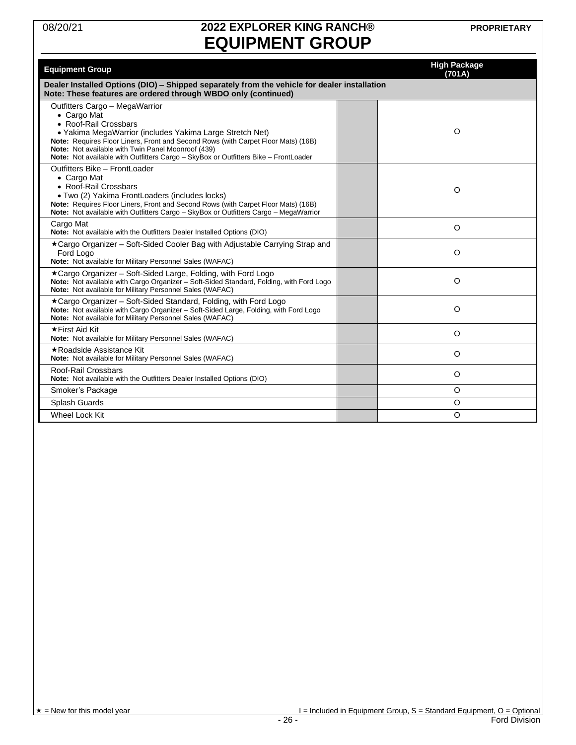# 08/20/21 **2022 EXPLORER KING RANCH® EQUIPMENT GROUP**

**PROPRIETARY**

| <b>Equipment Group</b>                                                                                                                                                                                                                                                                                                                                               | <b>High Package</b><br>(701A) |
|----------------------------------------------------------------------------------------------------------------------------------------------------------------------------------------------------------------------------------------------------------------------------------------------------------------------------------------------------------------------|-------------------------------|
| Dealer Installed Options (DIO) – Shipped separately from the vehicle for dealer installation<br>Note: These features are ordered through WBDO only (continued)                                                                                                                                                                                                       |                               |
| Outfitters Cargo - MegaWarrior<br>• Cargo Mat<br>• Roof-Rail Crossbars<br>• Yakima MegaWarrior (includes Yakima Large Stretch Net)<br>Note: Requires Floor Liners, Front and Second Rows (with Carpet Floor Mats) (16B)<br>Note: Not available with Twin Panel Moonroof (439)<br>Note: Not available with Outfitters Cargo - SkyBox or Outfitters Bike - FrontLoader | O                             |
| Outfitters Bike - FrontLoader<br>• Cargo Mat<br>• Roof-Rail Crossbars<br>• Two (2) Yakima FrontLoaders (includes locks)<br>Note: Requires Floor Liners, Front and Second Rows (with Carpet Floor Mats) (16B)<br>Note: Not available with Outfitters Cargo - SkyBox or Outfitters Cargo - MegaWarrior                                                                 | O                             |
| Cargo Mat<br>Note: Not available with the Outfitters Dealer Installed Options (DIO)                                                                                                                                                                                                                                                                                  | $\circ$                       |
| ★Cargo Organizer – Soft-Sided Cooler Bag with Adjustable Carrying Strap and<br>Ford Logo<br>Note: Not available for Military Personnel Sales (WAFAC)                                                                                                                                                                                                                 | O                             |
| ★Cargo Organizer – Soft-Sided Large, Folding, with Ford Logo<br>Note: Not available with Cargo Organizer - Soft-Sided Standard, Folding, with Ford Logo<br>Note: Not available for Military Personnel Sales (WAFAC)                                                                                                                                                  | O                             |
| ★Cargo Organizer – Soft-Sided Standard, Folding, with Ford Logo<br>Note: Not available with Cargo Organizer - Soft-Sided Large, Folding, with Ford Logo<br>Note: Not available for Military Personnel Sales (WAFAC)                                                                                                                                                  | O                             |
| ★First Aid Kit<br>Note: Not available for Military Personnel Sales (WAFAC)                                                                                                                                                                                                                                                                                           | O                             |
| ★Roadside Assistance Kit<br>Note: Not available for Military Personnel Sales (WAFAC)                                                                                                                                                                                                                                                                                 | O                             |
| Roof-Rail Crossbars<br>Note: Not available with the Outfitters Dealer Installed Options (DIO)                                                                                                                                                                                                                                                                        | O                             |
| Smoker's Package                                                                                                                                                                                                                                                                                                                                                     | O                             |
| Splash Guards                                                                                                                                                                                                                                                                                                                                                        | O                             |
| Wheel Lock Kit                                                                                                                                                                                                                                                                                                                                                       | O                             |

 $\star$  = New for this model year  $\star$  = 1 = Included in Equipment Group, S = Standard Equipment, O = Optional  $\star$  = 26 -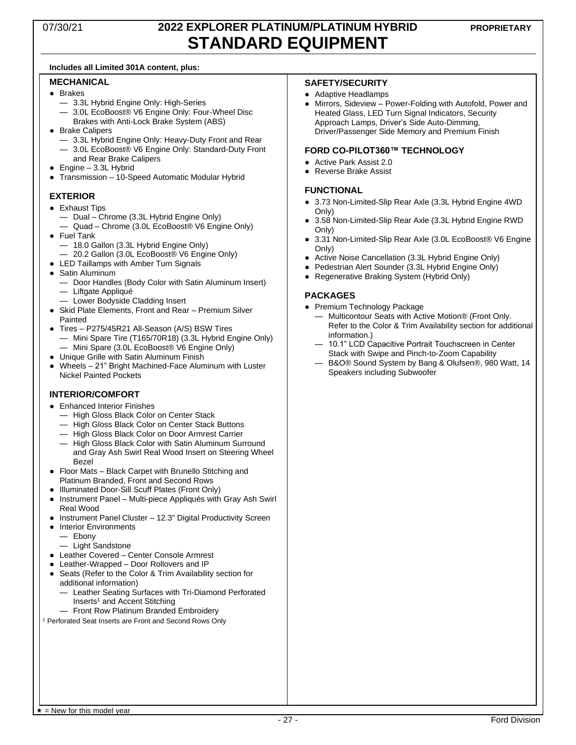### 07/30/21 **2022 EXPLORER PLATINUM/PLATINUM HYBRID STANDARD EQUIPMENT**

#### **Includes all Limited 301A content, plus:**

#### **MECHANICAL**

- Brakes
	- 3.3L Hybrid Engine Only: High-Series
	- 3.0L EcoBoost® V6 Engine Only: Four-Wheel Disc Brakes with Anti-Lock Brake System (ABS)
- Brake Calipers
	- 3.3L Hybrid Engine Only: Heavy-Duty Front and Rear — 3.0L EcoBoost® V6 Engine Only: Standard-Duty Front and Rear Brake Calipers
- $\bullet$  Engine 3.3L Hybrid
- Transmission 10-Speed Automatic Modular Hybrid

#### **EXTERIOR**

- Exhaust Tips
	- Dual Chrome (3.3L Hybrid Engine Only)
	- Quad Chrome (3.0L EcoBoost® V6 Engine Only)
- Fuel Tank
- 18.0 Gallon (3.3L Hybrid Engine Only)
- 20.2 Gallon (3.0L EcoBoost® V6 Engine Only)
- LED Taillamps with Amber Turn Signals
- Satin Aluminum
	- Door Handles (Body Color with Satin Aluminum Insert) — Liftgate Appliqué
	- Lower Bodyside Cladding Insert
- Skid Plate Elements, Front and Rear Premium Silver Painted
- Tires P275/45R21 All-Season (A/S) BSW Tires — Mini Spare Tire (T165/70R18) (3.3L Hybrid Engine Only)
	- Mini Spare (3.0L EcoBoost® V6 Engine Only)
- Unique Grille with Satin Aluminum Finish
- Wheels 21" Bright Machined-Face Aluminum with Luster Nickel Painted Pockets

#### **INTERIOR/COMFORT**

- Enhanced Interior Finishes
	- High Gloss Black Color on Center Stack
	- High Gloss Black Color on Center Stack Buttons
	- High Gloss Black Color on Door Armrest Carrier
	- High Gloss Black Color with Satin Aluminum Surround and Gray Ash Swirl Real Wood Insert on Steering Wheel Bezel
- Floor Mats Black Carpet with Brunello Stitching and Platinum Branded, Front and Second Rows
- Illuminated Door-Sill Scuff Plates (Front Only)
- Instrument Panel Multi-piece Appliqués with Gray Ash Swirl Real Wood
- Instrument Panel Cluster 12.3" Digital Productivity Screen
- Interior Environments
	- Ebony
	- Light Sandstone
- Leather Covered Center Console Armrest
- Leather-Wrapped Door Rollovers and IP
- Seats (Refer to the Color & Trim Availability section for additional information)
	- Leather Seating Surfaces with Tri-Diamond Perforated Inserts<sup>1</sup> and Accent Stitching
	- Front Row Platinum Branded Embroidery

<sup>1</sup> Perforated Seat Inserts are Front and Second Rows Only

#### **SAFETY/SECURITY**

- Adaptive Headlamps
- Mirrors, Sideview Power-Folding with Autofold, Power and Heated Glass, LED Turn Signal Indicators, Security Approach Lamps, Driver's Side Auto-Dimming, Driver/Passenger Side Memory and Premium Finish

#### **FORD CO-PILOT360™ TECHNOLOGY**

- Active Park Assist 2.0
- Reverse Brake Assist

#### **FUNCTIONAL**

- 3.73 Non-Limited-Slip Rear Axle (3.3L Hybrid Engine 4WD Only)
- 3.58 Non-Limited-Slip Rear Axle (3.3L Hybrid Engine RWD Only)
- 3.31 Non-Limited-Slip Rear Axle (3.0L EcoBoost® V6 Engine Only)
- Active Noise Cancellation (3.3L Hybrid Engine Only)
- Pedestrian Alert Sounder (3.3L Hybrid Engine Only)
- Regenerative Braking System (Hybrid Only)

#### **PACKAGES**

- Premium Technology Package
	- Multicontour Seats with Active Motion® (Front Only. Refer to the Color & Trim Availability section for additional information.)
	- 10.1" LCD Capacitive Portrait Touchscreen in Center Stack with Swipe and Pinch-to-Zoom Capability
	- B&O® Sound System by Bang & Olufsen®, 980 Watt, 14 Speakers including Subwoofer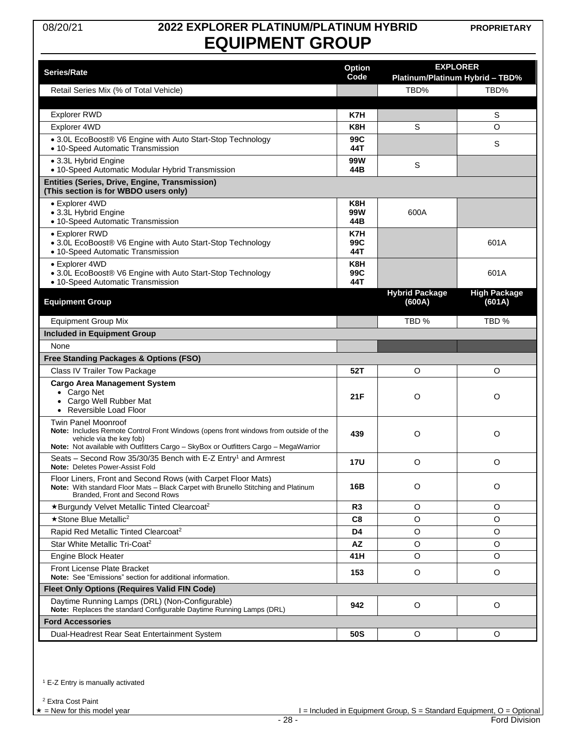### 08/20/21 **2022 EXPLORER PLATINUM/PLATINUM HYBRID EQUIPMENT GROUP**

**PROPRIETARY**

| <b>Series/Rate</b>                                                                                                                                                                                                                     | <b>EXPLORER</b><br><b>Option</b> |                                 |                                 |  |
|----------------------------------------------------------------------------------------------------------------------------------------------------------------------------------------------------------------------------------------|----------------------------------|---------------------------------|---------------------------------|--|
|                                                                                                                                                                                                                                        | Code                             |                                 | Platinum/Platinum Hybrid - TBD% |  |
| Retail Series Mix (% of Total Vehicle)                                                                                                                                                                                                 |                                  | TBD%                            | TBD%                            |  |
| <b>Explorer RWD</b>                                                                                                                                                                                                                    | K7H                              |                                 | S                               |  |
| Explorer 4WD                                                                                                                                                                                                                           | K8H                              | S                               | O                               |  |
| • 3.0L EcoBoost® V6 Engine with Auto Start-Stop Technology                                                                                                                                                                             | 99C                              |                                 |                                 |  |
| • 10-Speed Automatic Transmission                                                                                                                                                                                                      | 44T                              |                                 | S                               |  |
| • 3.3L Hybrid Engine<br>• 10-Speed Automatic Modular Hybrid Transmission                                                                                                                                                               | 99W<br>44B                       | S                               |                                 |  |
| Entities (Series, Drive, Engine, Transmission)<br>(This section is for WBDO users only)                                                                                                                                                |                                  |                                 |                                 |  |
| • Explorer 4WD                                                                                                                                                                                                                         | K8H                              |                                 |                                 |  |
| • 3.3L Hybrid Engine<br>• 10-Speed Automatic Transmission                                                                                                                                                                              | 99W<br>44B                       | 600A                            |                                 |  |
| • Explorer RWD                                                                                                                                                                                                                         | K7H                              |                                 |                                 |  |
| • 3.0L EcoBoost® V6 Engine with Auto Start-Stop Technology<br>• 10-Speed Automatic Transmission                                                                                                                                        | 99C<br>44T                       |                                 | 601A                            |  |
| • Explorer 4WD<br>• 3.0L EcoBoost® V6 Engine with Auto Start-Stop Technology<br>• 10-Speed Automatic Transmission                                                                                                                      | K8H<br>99C<br>44T                |                                 | 601A                            |  |
| <b>Equipment Group</b>                                                                                                                                                                                                                 |                                  | <b>Hybrid Package</b><br>(600A) | <b>High Package</b><br>(601A)   |  |
| <b>Equipment Group Mix</b>                                                                                                                                                                                                             |                                  | TBD %                           | TBD %                           |  |
| <b>Included in Equipment Group</b>                                                                                                                                                                                                     |                                  |                                 |                                 |  |
| None                                                                                                                                                                                                                                   |                                  |                                 |                                 |  |
| Free Standing Packages & Options (FSO)                                                                                                                                                                                                 |                                  |                                 |                                 |  |
| Class IV Trailer Tow Package                                                                                                                                                                                                           | 52T                              | O                               | O                               |  |
| <b>Cargo Area Management System</b><br>• Cargo Net<br>• Cargo Well Rubber Mat<br>• Reversible Load Floor                                                                                                                               | 21F                              | O                               | O                               |  |
| <b>Twin Panel Moonroof</b><br>Note: Includes Remote Control Front Windows (opens front windows from outside of the<br>vehicle via the key fob)<br>Note: Not available with Outfitters Cargo - SkyBox or Outfitters Cargo - MegaWarrior | 439                              | O                               | O                               |  |
| Seats – Second Row 35/30/35 Bench with E-Z Entry <sup>1</sup> and Armrest<br>Note: Deletes Power-Assist Fold                                                                                                                           | <b>17U</b>                       | O                               | O                               |  |
| Floor Liners, Front and Second Rows (with Carpet Floor Mats)<br>Note: With standard Floor Mats - Black Carpet with Brunello Stitching and Platinum<br>Branded, Front and Second Rows                                                   | 16B                              | O                               | $\circ$                         |  |
| *Burgundy Velvet Metallic Tinted Clearcoat <sup>2</sup>                                                                                                                                                                                | R3                               | O                               | O                               |  |
| ★ Stone Blue Metallic <sup>2</sup>                                                                                                                                                                                                     | C8                               | O                               | $\circ$                         |  |
| Rapid Red Metallic Tinted Clearcoat <sup>2</sup>                                                                                                                                                                                       | D4                               | O                               | O                               |  |
| Star White Metallic Tri-Coat <sup>2</sup>                                                                                                                                                                                              | <b>AZ</b>                        | $\circ$                         | $\circ$                         |  |
| <b>Engine Block Heater</b>                                                                                                                                                                                                             | 41 H                             | O                               | O                               |  |
| Front License Plate Bracket<br>Note: See "Emissions" section for additional information.                                                                                                                                               | 153                              | O                               | O                               |  |
| <b>Fleet Only Options (Requires Valid FIN Code)</b>                                                                                                                                                                                    |                                  |                                 |                                 |  |
| Daytime Running Lamps (DRL) (Non-Configurable)<br>Note: Replaces the standard Configurable Daytime Running Lamps (DRL)                                                                                                                 | 942                              | O                               | O                               |  |
| <b>Ford Accessories</b>                                                                                                                                                                                                                |                                  |                                 |                                 |  |
| Dual-Headrest Rear Seat Entertainment System                                                                                                                                                                                           | 50S                              | O                               | O                               |  |

<span id="page-27-0"></span><sup>1</sup> E-Z Entry is manually activated

<sup>2</sup> Extra Cost Paint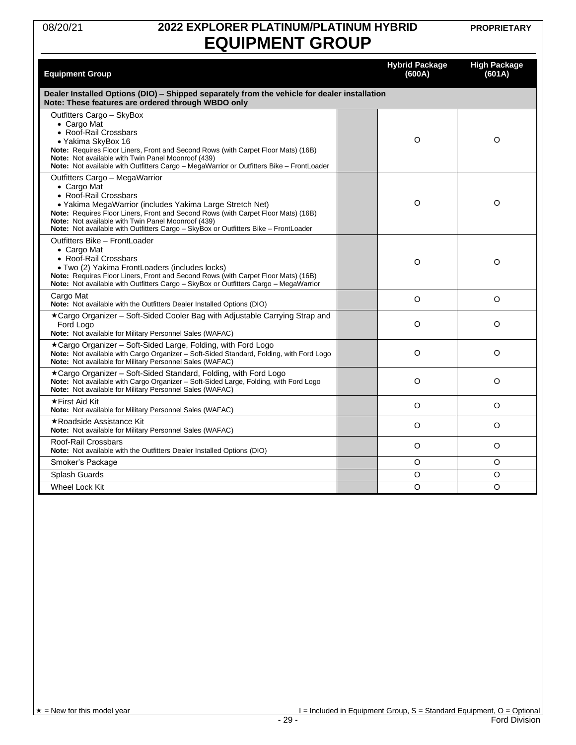### 08/20/21 **2022 EXPLORER PLATINUM/PLATINUM HYBRID EQUIPMENT GROUP**

**PROPRIETARY**

| <b>Equipment Group</b>                                                                                                                                                                                                                                                                                                                                               | <b>Hybrid Package</b><br>(600A) | <b>High Package</b><br>(601A) |
|----------------------------------------------------------------------------------------------------------------------------------------------------------------------------------------------------------------------------------------------------------------------------------------------------------------------------------------------------------------------|---------------------------------|-------------------------------|
| Dealer Installed Options (DIO) - Shipped separately from the vehicle for dealer installation<br>Note: These features are ordered through WBDO only                                                                                                                                                                                                                   |                                 |                               |
| Outfitters Cargo - SkyBox<br>• Cargo Mat<br>• Roof-Rail Crossbars<br>· Yakima SkyBox 16<br>Note: Requires Floor Liners, Front and Second Rows (with Carpet Floor Mats) (16B)<br>Note: Not available with Twin Panel Moonroof (439)<br>Note: Not available with Outfitters Cargo - MegaWarrior or Outfitters Bike - FrontLoader                                       | O                               | O                             |
| Outfitters Cargo - MegaWarrior<br>• Cargo Mat<br>• Roof-Rail Crossbars<br>• Yakima MegaWarrior (includes Yakima Large Stretch Net)<br>Note: Requires Floor Liners, Front and Second Rows (with Carpet Floor Mats) (16B)<br>Note: Not available with Twin Panel Moonroof (439)<br>Note: Not available with Outfitters Cargo - SkyBox or Outfitters Bike - FrontLoader | $\circ$                         | O                             |
| Outfitters Bike - FrontLoader<br>• Cargo Mat<br>• Roof-Rail Crossbars<br>• Two (2) Yakima FrontLoaders (includes locks)<br>Note: Requires Floor Liners, Front and Second Rows (with Carpet Floor Mats) (16B)<br>Note: Not available with Outfitters Cargo - SkyBox or Outfitters Cargo - MegaWarrior                                                                 | O                               | O                             |
| Cargo Mat<br>Note: Not available with the Outfitters Dealer Installed Options (DIO)                                                                                                                                                                                                                                                                                  | $\circ$                         | $\circ$                       |
| ★Cargo Organizer – Soft-Sided Cooler Bag with Adjustable Carrying Strap and<br>Ford Logo<br>Note: Not available for Military Personnel Sales (WAFAC)                                                                                                                                                                                                                 | O                               | O                             |
| ★Cargo Organizer – Soft-Sided Large, Folding, with Ford Logo<br>Note: Not available with Cargo Organizer - Soft-Sided Standard, Folding, with Ford Logo<br>Note: Not available for Military Personnel Sales (WAFAC)                                                                                                                                                  | $\circ$                         | O                             |
| *Cargo Organizer - Soft-Sided Standard, Folding, with Ford Logo<br>Note: Not available with Cargo Organizer - Soft-Sided Large, Folding, with Ford Logo<br>Note: Not available for Military Personnel Sales (WAFAC)                                                                                                                                                  | O                               | O                             |
| ★First Aid Kit<br>Note: Not available for Military Personnel Sales (WAFAC)                                                                                                                                                                                                                                                                                           | O                               | O                             |
| ★Roadside Assistance Kit<br>Note: Not available for Military Personnel Sales (WAFAC)                                                                                                                                                                                                                                                                                 | O                               | O                             |
| Roof-Rail Crossbars<br>Note: Not available with the Outfitters Dealer Installed Options (DIO)                                                                                                                                                                                                                                                                        | O                               | O                             |
| Smoker's Package                                                                                                                                                                                                                                                                                                                                                     | O                               | O                             |
| Splash Guards                                                                                                                                                                                                                                                                                                                                                        | O                               | O                             |
| Wheel Lock Kit                                                                                                                                                                                                                                                                                                                                                       | $\Omega$                        | Ω                             |

 $\begin{array}{c}\n \star = \textsf{New for this model year} \\
\hline\n \star = \textsf{New for this model year}\n \end{array}$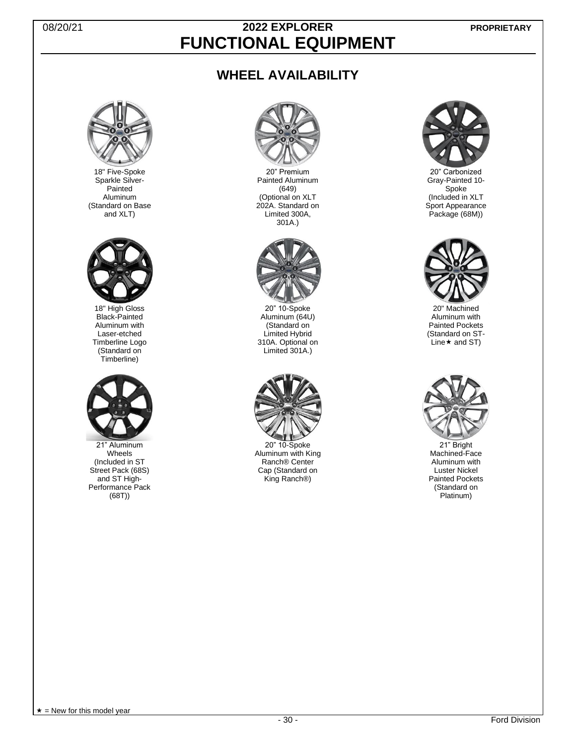### 08/20/21 **2022 EXPLORER FUNCTIONAL EQUIPMENT**

### **WHEEL AVAILABILITY**



18" Five-Spoke Sparkle Silver-Painted Aluminum (Standard on Base and XLT)



18" High Gloss Black-Painted Aluminum with Laser-etched Timberline Logo (Standard on Timberline)



21" Aluminum Wheels (Included in ST Street Pack (68S) and ST High-Performance Pack (68T))



20" Premium Painted Aluminum (649) (Optional on XLT 202A. Standard on Limited 300A, 301A.)



20" 10-Spoke Aluminum (64U) (Standard on Limited Hybrid 310A. Optional on Limited 301A.)



20" 10-Spoke Aluminum with King Ranch® Center Cap (Standard on King Ranch®)



20" Carbonized Gray-Painted 10- Spoke (Included in XLT Sport Appearance Package (68M))



20" Machined Aluminum with Painted Pockets (Standard on ST-Line  $\star$  and ST)



21" Bright Machined-Face Aluminum with Luster Nickel Painted Pockets (Standard on Platinum)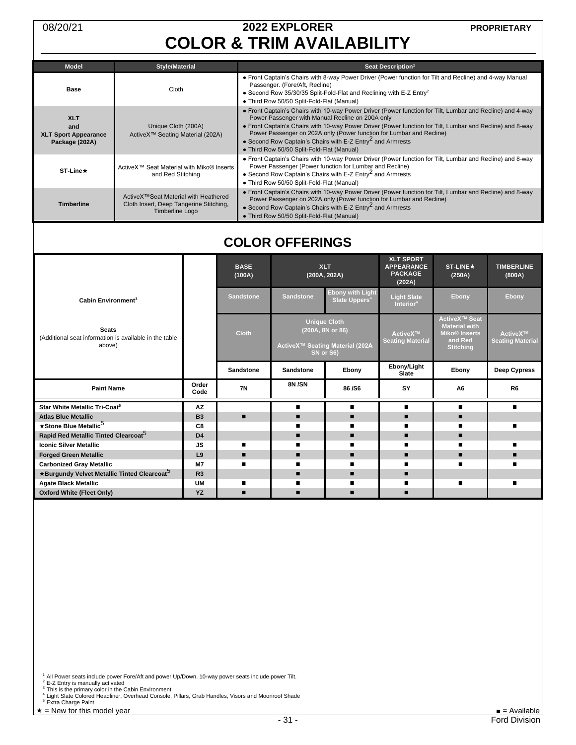# 08/20/21 **2022 EXPLORER COLOR & TRIM AVAILABILITY**

| <b>Model</b>                                                       | <b>Style/Material</b>                                                                                     | Seat Description <sup>1</sup>                                                                                                                                                                                                                                                                                                                                                                                                                                              |
|--------------------------------------------------------------------|-----------------------------------------------------------------------------------------------------------|----------------------------------------------------------------------------------------------------------------------------------------------------------------------------------------------------------------------------------------------------------------------------------------------------------------------------------------------------------------------------------------------------------------------------------------------------------------------------|
| Base                                                               | Cloth                                                                                                     | • Front Captain's Chairs with 8-way Power Driver (Power function for Tilt and Recline) and 4-way Manual<br>Passenger. (Fore/Aft, Recline)<br>• Second Row 35/30/35 Split-Fold-Flat and Reclining with E-Z $Entv^2$<br>• Third Row 50/50 Split-Fold-Flat (Manual)                                                                                                                                                                                                           |
| <b>XLT</b><br>and<br><b>XLT Sport Appearance</b><br>Package (202A) | Unique Cloth (200A)<br>ActiveX™ Seating Material (202A)                                                   | • Front Captain's Chairs with 10-way Power Driver (Power function for Tilt, Lumbar and Recline) and 4-way<br>Power Passenger with Manual Recline on 200A only<br>• Front Captain's Chairs with 10-way Power Driver (Power function for Tilt, Lumbar and Recline) and 8-way<br>Power Passenger on 202A only (Power function for Lumbar and Recline)<br>• Second Row Captain's Chairs with E-Z Entry <sup>2</sup> and Armrests<br>• Third Row 50/50 Split-Fold-Flat (Manual) |
| <b>ST-Line★</b>                                                    | ActiveX™ Seat Material with Miko® Inserts<br>and Red Stitching                                            | • Front Captain's Chairs with 10-way Power Driver (Power function for Tilt, Lumbar and Recline) and 8-way<br>Power Passenger (Power function for Lumbar and Recline)<br>• Second Row Captain's Chairs with E-Z Entry <sup>2</sup> and Armrests<br>• Third Row 50/50 Split-Fold-Flat (Manual)                                                                                                                                                                               |
| <b>Timberline</b>                                                  | ActiveX™Seat Material with Heathered<br>Cloth Insert, Deep Tangerine Stitching,<br><b>Timberline Logo</b> | • Front Captain's Chairs with 10-way Power Driver (Power function for Tilt, Lumbar and Recline) and 8-way<br>Power Passenger on 202A only (Power function for Lumbar and Recline)<br>• Second Row Captain's Chairs with E-Z $Entry2$ and Armrests<br>• Third Row 50/50 Split-Fold-Flat (Manual)                                                                                                                                                                            |

# <span id="page-30-1"></span><span id="page-30-0"></span>**COLOR OFFERINGS**

<span id="page-30-2"></span>

|                                                                                  |                | <b>BASE</b><br>(100A) | <b>XLT</b><br>(200A, 202A)                                                              |                                                      | <b>XLT SPORT</b><br><b>APPEARANCE</b><br><b>PACKAGE</b><br>(202A) | <b>ST-LINE★</b><br>(250A) | <b>TIMBERLINE</b><br>(800A)         |                                                                                                                |                                     |
|----------------------------------------------------------------------------------|----------------|-----------------------|-----------------------------------------------------------------------------------------|------------------------------------------------------|-------------------------------------------------------------------|---------------------------|-------------------------------------|----------------------------------------------------------------------------------------------------------------|-------------------------------------|
| Cabin Environment <sup>3</sup>                                                   |                | <b>Sandstone</b>      | <b>Sandstone</b>                                                                        | <b>Ebony with Light</b><br>Slate Uppers <sup>4</sup> | <b>Light Slate</b><br>Interior <sup>4</sup>                       | Ebony                     | Ebony                               |                                                                                                                |                                     |
| <b>Seats</b><br>(Additional seat information is available in the table<br>above) |                | <b>Cloth</b>          | <b>Unique Cloth</b><br>(200A, 8N or 86)<br>ActiveX™ Seating Material (202A<br>SN or S6) |                                                      |                                                                   |                           | ActiveX™<br><b>Seating Material</b> | <b>ActiveX™ Seat</b><br><b>Material with</b><br><b>Miko<sup>®</sup></b> Inserts<br>and Red<br><b>Stitching</b> | ActiveX™<br><b>Seating Material</b> |
|                                                                                  |                | Sandstone             | <b>Sandstone</b>                                                                        | Ebony                                                | Ebony/Light<br>Slate                                              | Ebony                     | Deep Cypress                        |                                                                                                                |                                     |
| <b>Paint Name</b>                                                                | Order<br>Code  | <b>7N</b>             | 8N/SN                                                                                   | 86/S6                                                | SY                                                                | A <sub>6</sub>            | R <sub>6</sub>                      |                                                                                                                |                                     |
| Star White Metallic Tri-Coat <sup>5</sup>                                        | <b>AZ</b>      |                       |                                                                                         |                                                      |                                                                   |                           |                                     |                                                                                                                |                                     |
| <b>Atlas Blue Metallic</b>                                                       | <b>B3</b>      | ▪                     | ▪                                                                                       | ▪                                                    | ▪                                                                 | ▪                         |                                     |                                                                                                                |                                     |
| ★Stone Blue Metallic <sup>5</sup>                                                | C8             |                       |                                                                                         |                                                      |                                                                   |                           |                                     |                                                                                                                |                                     |
| Rapid Red Metallic Tinted Clearcoat <sup>5</sup>                                 | D <sub>4</sub> |                       | ▪                                                                                       | ▪                                                    |                                                                   |                           |                                     |                                                                                                                |                                     |
|                                                                                  |                |                       |                                                                                         |                                                      |                                                                   |                           |                                     |                                                                                                                |                                     |
| <b>Iconic Silver Metallic</b>                                                    | <b>JS</b>      |                       | ▪                                                                                       |                                                      |                                                                   |                           |                                     |                                                                                                                |                                     |
| <b>Forged Green Metallic</b>                                                     | L <sub>9</sub> | ▪                     | ▪                                                                                       | ▪                                                    |                                                                   |                           |                                     |                                                                                                                |                                     |
| <b>Carbonized Gray Metallic</b>                                                  | <b>M7</b>      |                       |                                                                                         |                                                      |                                                                   |                           |                                     |                                                                                                                |                                     |
| *Burgundy Velvet Metallic Tinted Clearcoat <sup>5</sup>                          | R3             |                       | ▬                                                                                       | ▬                                                    | ▪                                                                 |                           |                                     |                                                                                                                |                                     |
| <b>Agate Black Metallic</b>                                                      | <b>UM</b>      |                       |                                                                                         |                                                      |                                                                   |                           |                                     |                                                                                                                |                                     |

<sup>1</sup> All Power seats include power Fore/Aft and power Up/Down. 10-way power seats include power Tilt.<br><sup>2</sup> E-Z Entry is manually activated<br><sup>3</sup> This is the primary color in the Cabin Environment.<br><sup>4</sup> Light Slate Colored Headl

<sup>5</sup> Extra Charge Paint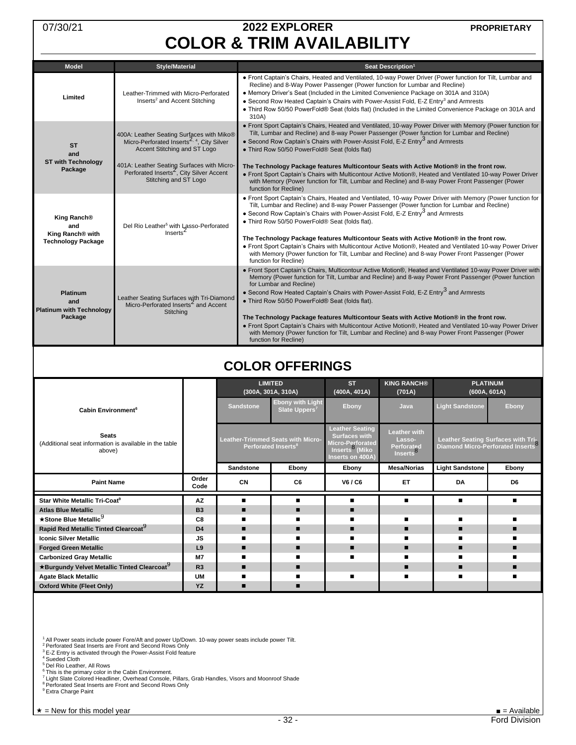# 07/30/21 **2022 EXPLORER COLOR & TRIM AVAILABILITY**

<span id="page-31-0"></span>

| <b>Model</b>                                                                    | <b>Style/Material</b>                                                                                                                                                                                                                                              | Seat Description <sup>1</sup>                                                                                                                                                                                                                                                                                                                                                                                                                                                                                                                                                                                                                                                                                                                |
|---------------------------------------------------------------------------------|--------------------------------------------------------------------------------------------------------------------------------------------------------------------------------------------------------------------------------------------------------------------|----------------------------------------------------------------------------------------------------------------------------------------------------------------------------------------------------------------------------------------------------------------------------------------------------------------------------------------------------------------------------------------------------------------------------------------------------------------------------------------------------------------------------------------------------------------------------------------------------------------------------------------------------------------------------------------------------------------------------------------------|
| Limited                                                                         | Leather-Trimmed with Micro-Perforated<br>Inserts <sup>2</sup> and Accent Stitching                                                                                                                                                                                 | • Front Captain's Chairs, Heated and Ventilated, 10-way Power Driver (Power function for Tilt, Lumbar and<br>Recline) and 8-Way Power Passenger (Power function for Lumbar and Recline)<br>• Memory Driver's Seat (Included in the Limited Convenience Package on 301A and 310A)<br>• Second Row Heated Captain's Chairs with Power-Assist Fold, E-Z Entry <sup>3</sup> and Armrests<br>• Third Row 50/50 PowerFold® Seat (folds flat) (Included in the Limited Convenience Package on 301A and<br>310A)                                                                                                                                                                                                                                     |
| <b>ST</b><br>and<br><b>ST with Technology</b><br>Package                        | 400A: Leather Seating Surfaces with Miko®<br>Micro-Perforated Inserts <sup>2, 4</sup> , City Silver<br>Accent Stitching and ST Logo<br>401A: Leather Seating Surfaces with Micro-<br>Perforated Inserts <sup>2</sup> , City Silver Accent<br>Stitching and ST Logo | • Front Sport Captain's Chairs, Heated and Ventilated, 10-way Power Driver with Memory (Power function for<br>Tilt, Lumbar and Recline) and 8-way Power Passenger (Power function for Lumbar and Recline)<br>• Second Row Captain's Chairs with Power-Assist Fold, E-Z Entry <sup>3</sup> and Armrests<br>. Third Row 50/50 PowerFold® Seat (folds flat)<br>The Technology Package features Multicontour Seats with Active Motion® in the front row.<br>• Front Sport Captain's Chairs with Multicontour Active Motion®, Heated and Ventilated 10-way Power Driver<br>with Memory (Power function for Tilt, Lumbar and Recline) and 8-way Power Front Passenger (Power                                                                       |
|                                                                                 |                                                                                                                                                                                                                                                                    | function for Recline)                                                                                                                                                                                                                                                                                                                                                                                                                                                                                                                                                                                                                                                                                                                        |
| King Ranch <sup>®</sup><br>and<br>King Ranch® with<br><b>Technology Package</b> | Del Rio Leather <sup>5</sup> with Lasso-Perforated<br>Inserts <sup>2</sup>                                                                                                                                                                                         | • Front Sport Captain's Chairs, Heated and Ventilated, 10-way Power Driver with Memory (Power function for<br>Tilt, Lumbar and Recline) and 8-way Power Passenger (Power function for Lumbar and Recline)<br>• Second Row Captain's Chairs with Power-Assist Fold, E-Z Entry <sup>3</sup> and Armrests<br>. Third Row 50/50 PowerFold® Seat (folds flat).<br>The Technology Package features Multicontour Seats with Active Motion® in the front row.<br>. Front Sport Captain's Chairs with Multicontour Active Motion®, Heated and Ventilated 10-way Power Driver<br>with Memory (Power function for Tilt, Lumbar and Recline) and 8-way Power Front Passenger (Power<br>function for Recline)                                             |
| <b>Platinum</b><br>and<br><b>Platinum with Technology</b><br>Package            | Leather Seating Surfaces with Tri-Diamond<br>Micro-Perforated Inserts <sup>2</sup> and Accent<br>Stitching                                                                                                                                                         | . Front Sport Captain's Chairs, Multicontour Active Motion®, Heated and Ventilated 10-way Power Driver with<br>Memory (Power function for Tilt, Lumbar and Recline) and 8-way Power Front Passenger (Power function<br>for Lumbar and Recline)<br>• Second Row Heated Captain's Chairs with Power-Assist Fold, E-Z Entry <sup>3</sup> and Armrests<br>. Third Row 50/50 PowerFold® Seat (folds flat).<br>The Technology Package features Multicontour Seats with Active Motion® in the front row.<br>• Front Sport Captain's Chairs with Multicontour Active Motion®, Heated and Ventilated 10-way Power Driver<br>with Memory (Power function for Tilt, Lumbar and Recline) and 8-way Power Front Passenger (Power<br>function for Recline) |

### <span id="page-31-2"></span><span id="page-31-1"></span>**COLOR OFFERINGS**

<span id="page-31-3"></span>

|                                                                                  |                |                  | <b>LIMITED</b><br>(300A, 301A, 310A)                                 | <b>ST</b><br>(400A, 401A)                                                                                            | <b>KING RANCH®</b><br>(701A)                                        | <b>PLATINUM</b>        | (600A, 601A)                                                                        |
|----------------------------------------------------------------------------------|----------------|------------------|----------------------------------------------------------------------|----------------------------------------------------------------------------------------------------------------------|---------------------------------------------------------------------|------------------------|-------------------------------------------------------------------------------------|
| Cabin Environment <sup>6</sup>                                                   |                | <b>Sandstone</b> | <b>Ebony with Light</b><br>Slate Uppers <sup>7</sup>                 | Ebony                                                                                                                | Java                                                                | <b>Light Sandstone</b> | Ebony                                                                               |
| <b>Seats</b><br>(Additional seat information is available in the table<br>above) |                |                  | Leather-Trimmed Seats with Micro-<br>Perforated Inserts <sup>8</sup> | <b>Leather Seating</b><br><b>Surfaces with</b><br>Micro-Perforated<br>Inserts <sup>8</sup> (Miko<br>Inserts on 400A) | <b>Leather with</b><br>Lasso-<br>Perforated<br>Inserts <sup>o</sup> |                        | Leather Seating Surfaces with Tri-<br>Diamond Micro-Perforated Inserts <sup>8</sup> |
|                                                                                  |                | Sandstone        | Ebony                                                                | Ebony                                                                                                                | <b>Mesa/Norias</b>                                                  | <b>Light Sandstone</b> | Ebony                                                                               |
| <b>Paint Name</b>                                                                | Order<br>Code  | CN               | C6                                                                   | V6 / C6                                                                                                              | ET                                                                  | DA                     | D <sub>6</sub>                                                                      |
| Star White Metallic Tri-Coat <sup>9</sup>                                        | <b>AZ</b>      |                  |                                                                      |                                                                                                                      | $\blacksquare$                                                      | $\blacksquare$         | ▬                                                                                   |
| <b>Atlas Blue Metallic</b>                                                       | <b>B3</b>      | ▪                |                                                                      |                                                                                                                      |                                                                     |                        |                                                                                     |
| ★Stone Blue Metallic <sup>9</sup>                                                | C8             |                  |                                                                      |                                                                                                                      |                                                                     |                        |                                                                                     |
| Rapid Red Metallic Tinted Clearcoat <sup>9</sup>                                 | D <sub>4</sub> |                  |                                                                      | ▪                                                                                                                    | ▪                                                                   |                        |                                                                                     |
| <b>Iconic Silver Metallic</b>                                                    | JS.            |                  |                                                                      |                                                                                                                      |                                                                     |                        |                                                                                     |
| <b>Forged Green Metallic</b>                                                     | L9             |                  |                                                                      |                                                                                                                      | ▪                                                                   |                        |                                                                                     |
| <b>Carbonized Gray Metallic</b>                                                  | <b>M7</b>      |                  |                                                                      |                                                                                                                      |                                                                     |                        |                                                                                     |
| ★Burgundy Velvet Metallic Tinted Clearcoat <sup>9</sup>                          | R <sub>3</sub> |                  | ▪                                                                    |                                                                                                                      |                                                                     |                        |                                                                                     |
| <b>Agate Black Metallic</b>                                                      | <b>UM</b>      |                  |                                                                      |                                                                                                                      |                                                                     |                        |                                                                                     |
| <b>Oxford White (Fleet Only)</b>                                                 | YZ             |                  |                                                                      |                                                                                                                      |                                                                     |                        |                                                                                     |

<sup>1</sup> All Power seats include power Fore/Aft and power Up/Down. 10-way power seats include power Tilt.<br><sup>2</sup> Perforated Seat Inserts are Front and Second Rows Only<br><sup>3</sup> E-Z Entry is activated through the Power-Assist Fold featu

<sup>5</sup> Del Rio Leather, All Rows

<sup>6</sup> This is the primary color in the Cabin Environment.<br><sup>7</sup> Light Slate Colored Headliner, Overhead Console, Pillars, Grab Handles, Visors and Moonroof Shade<br><sup>8</sup> Perforated Seat Inserts are Front and Second Rows Only<br><sup>9</sup> E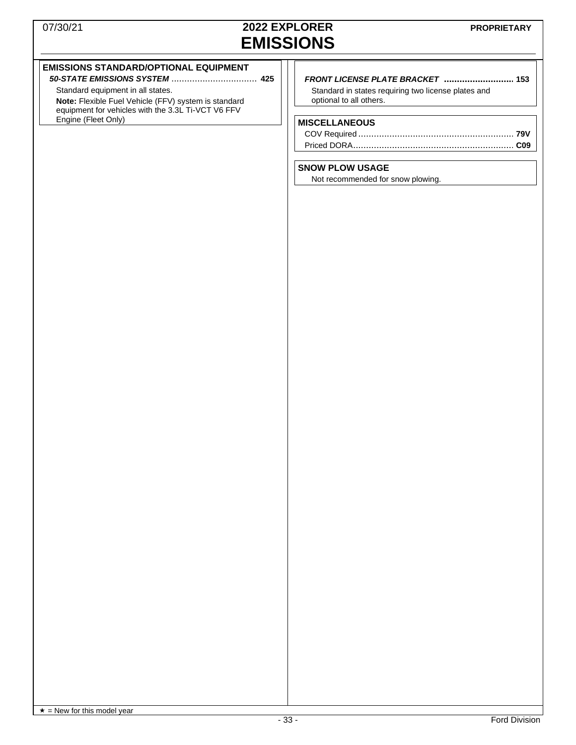### 07/30/21 **2022 EXPLORER EMISSIONS**

#### **EMISSIONS STANDARD/OPTIONAL EQUIPMENT**

*50-STATE EMISSIONS SYSTEM* ................................. **425** Standard equipment in all states.

**Note:** Flexible Fuel Vehicle (FFV) system is standard equipment for vehicles with the 3.3L Ti-VCT V6 FFV Engine (Fleet Only)

#### *FRONT LICENSE PLATE BRACKET* **........................... 153**

Standard in states requiring two license plates and optional to all others.

#### **MISCELLANEOUS**

#### **SNOW PLOW USAGE**

Not recommended for snow plowing.